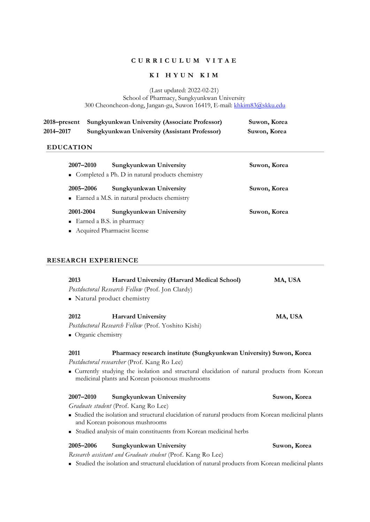# **C U R R I C U L U M V I T A E**

**K I C U L U M V I T A E**<br> **K I H Y U N K I M**<br>
(Last updated: 2022-02-21) School of Pharmacy, Sungkyunkwan University 300 Cheoncheon-dong, Jangan-gu, Suwon 16419, E-mail: khkim83@skku.edu

|           | 2018–present Sungkyunkwan University (Associate Professor) | Suwon, Korea |
|-----------|------------------------------------------------------------|--------------|
| 2014-2017 | <b>Sungkyunkwan University (Assistant Professor)</b>       | Suwon, Korea |

# **EDUCATION**

| 2007-2010                                                    | Sungkyunkwan University<br>• Completed a Ph. D in natural products chemistry | Suwon, Korea |  |  |
|--------------------------------------------------------------|------------------------------------------------------------------------------|--------------|--|--|
| 2005-2006                                                    | Sungkyunkwan University<br>• Earned a M.S. in natural products chemistry     | Suwon, Korea |  |  |
| 2001-2004                                                    | Sungkyunkwan University                                                      | Suwon, Korea |  |  |
| $\blacksquare$ Earned a B.S. in pharmacy                     |                                                                              |              |  |  |
| $\Lambda$ - $\ldots$ in the DL successive Users of $\Lambda$ |                                                                              |              |  |  |

<sup>n</sup> Acquired Pharmacist license

# **RESEARCH EXPERIENCE**

| 2013                                                                                                                                             | Harvard University (Harvard Medical School)        | MA, USA      |  |  |
|--------------------------------------------------------------------------------------------------------------------------------------------------|----------------------------------------------------|--------------|--|--|
|                                                                                                                                                  | Postdoctoral Research Fellow (Prof. Jon Clardy)    |              |  |  |
|                                                                                                                                                  | • Natural product chemistry                        |              |  |  |
|                                                                                                                                                  |                                                    |              |  |  |
| 2012                                                                                                                                             | <b>Harvard University</b>                          | MA, USA      |  |  |
|                                                                                                                                                  | Postdoctoral Research Fellow (Prof. Yoshito Kishi) |              |  |  |
| • Organic chemistry                                                                                                                              |                                                    |              |  |  |
|                                                                                                                                                  |                                                    |              |  |  |
| 2011<br>Pharmacy research institute (Sungkyunkwan University) Suwon, Korea                                                                       |                                                    |              |  |  |
| Postdoctoral researcher (Prof. Kang Ro Lee)                                                                                                      |                                                    |              |  |  |
| • Currently studying the isolation and structural elucidation of natural products from Korean<br>medicinal plants and Korean poisonous mushrooms |                                                    |              |  |  |
| 2007-2010                                                                                                                                        | Sungkyunkwan University                            | Suwon, Korea |  |  |
| Graduate student (Prof. Kang Ro Lee)                                                                                                             |                                                    |              |  |  |
| • Studied the isolation and structural elucidation of natural products from Korean medicinal plants<br>and Korean poisonous mushrooms            |                                                    |              |  |  |
| • Studied analysis of main constituents from Korean medicinal herbs                                                                              |                                                    |              |  |  |
| 2005-2006                                                                                                                                        | Sungkyunkwan University                            | Suwon, Korea |  |  |
| Research assistant and Graduate student (Prof. Kang Ro Lee)                                                                                      |                                                    |              |  |  |
| Studied the isolation and structural elucidation of natural products from Korean medicinal plants                                                |                                                    |              |  |  |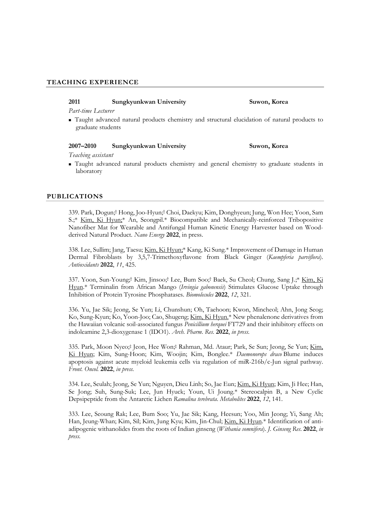## **TEACHING EXPERIENCE**

### **2011 Sungkyunkwan University Suwon, Korea**

*Part-time Lecturer*

<sup>n</sup> Taught advanced natural products chemistry and structural elucidation of natural products to graduate students

### **2007–2010 Sungkyunkwan University Suwon, Korea**

*Teaching assistant*

<sup>n</sup> Taught advanced natural products chemistry and general chemistry to graduate students in laboratory

### **PUBLICATIONS**

339. Park, Dogun;† Hong, Joo-Hyun;† Choi, Daekyu; Kim, Donghyeun; Jung, Won Hee; Yoon, Sam S.;\* Kim, Ki Hyun;\* An, Seongpil.\* Biocompatible and Mechanically-reinforced Tribopositive Nanofiber Mat for Wearable and Antifungal Human Kinetic Energy Harvester based on Wood derived Natural Product. *Nano Energy* **2022**, in press.

338. Lee, Sullim; Jang, Taesu; Kim, Ki Hyun;\* Kang, Ki Sung.\* Improvement of Damage in Human Dermal Fibroblasts by 3,5,7-Trimethoxyflavone from Black Ginger (*Kaempferia parviflora*). *Antioxidants* **2022**, *11*, 425.

337. Yoon, Sun-Young;† Kim, Jinsoo;† Lee, Bum Soo;† Baek, Su Cheol; Chung, Sang J.;\* Kim, Ki Hyun.\* Terminalin from African Mango (*Irvingia gabonensis*) Stimulates Glucose Uptake through Inhibition of Protein Tyrosine Phosphatases. *Biomolecules* **2022**, *12*, 321.

336. Yu, Jae Sik; Jeong, Se Yun; Li, Chunshun; Oh, Taehoon; Kwon, Mincheol; Ahn, Jong Seog; Ko, Sung-Kyun; Ko, Yoon-Joo; Cao, Shugeng; Kim, Ki Hyun.\* New phenalenone derivatives from the Hawaiian volcanic soil-associated fungus *Penicillium herquei* FT729 and their inhibitory effects on indoleamine 2,3-dioxygenase 1 (IDO1). *Arch. Pharm. Res.* **2022**, *in press.*

335. Park, Moon Nyeo;‡ Jeon, Hee Won;‡ Rahman, Md. Ataur; Park, Se Sun; Jeong, Se Yun; Kim, Ki Hyun; Kim, Sung-Hoon; Kim, Woojin; Kim, Bonglee.\* *Daemonorops draco* Blume induces apoptosis against acute myeloid leukemia cells via regulation of miR-216b/c-Jun signal pathway. *Front. Oncol.* **2022**, *in press.*

334. Lee, Seulah; Jeong, Se Yun; Nguyen, Dieu Linh; So, Jae Eun; Kim, Ki Hyun; Kim, Ji Hee; Han, Se Jong; Suh, Sung-Suk; Lee, Jun Hyuck; Youn, Ui Joung.\* Stereocalpin B, a New Cyclic Depsipeptide from the Antarctic Lichen *Ramalina terebrata*. *Metabolites* **2022**, *12*, 141.

333. Lee, Seoung Rak; Lee, Bum Soo; Yu, Jae Sik; Kang, Heesun; Yoo, Min Jeong; Yi, Sang Ah; Han, Jeung-Whan; Kim, Sil; Kim, Jung Kyu; Kim, Jin-Chul; Kim, Ki Hyun.\* Identification of anti adipogenic withanolides from the roots of Indian ginseng (*Withania somnifera*). *J. Ginseng Res*. **2022**, *in press.*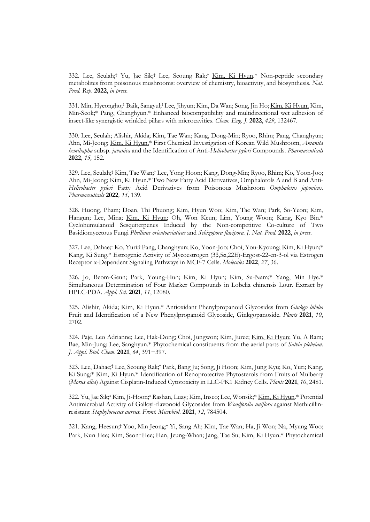332. Lee, Seulah;† Yu, Jae Sik;† Lee, Seoung Rak;† Kim, Ki Hyun.\* Non-peptide secondary metabolites from poisonous mushrooms: overview of chemistry, bioactivity, and biosynthesis. *Nat. Prod. Rep*. **2022**, *in press.* 

331. Min, Hyeongho;<sup>1</sup> Baik, Sangyul;1Lee, Jihyun; Kim, Da Wan; Song, Jin Ho; Kim, Ki Hyun; Kim, Min-Seok;\* Pang, Changhyun.\* Enhanced biocompatibility and multidirectional wet adhesion of insect-like synergistic wrinkled pillars with microcavities. *Chem. Eng. J.* **2022**, *429*, 132467.

330. Lee, Seulah; Alishir, Akida; Kim, Tae Wan; Kang, Dong-Min; Ryoo, Rhim; Pang, Changhyun; Ahn, Mi-Jeong; Kim, Ki Hyun.\* First Chemical Investigation of Korean Wild Mushroom, *Amanita hemibapha* subsp. *javanica* and the Identification of Anti-*Helicobacter pylori* Compounds. *Pharmaceuticals*  **2022***, 15,* 152.

329. Lee, Seulah;† Kim, Tae Wan;† Lee, Yong Hoon; Kang, Dong-Min; Ryoo, Rhim; Ko, Yoon-Joo; Ahn, Mi-Jeong; Kim, Ki Hyun.\* Two New Fatty Acid Derivatives, Omphalotols A and B and Anti-*Helicobacter pylori* Fatty Acid Derivatives from Poisonous Mushroom *Omphalotus japonicus. Pharmaceuticals* **2022***, 15,* 139.

328. Huong, Pham; Doan, Thi Phuong; Kim, Hyun Woo; Kim, Tae Wan; Park, So-Yeon; Kim, Hangun; Lee, Mina; Kim, Ki Hyun; Oh, Won Keun; Lim, Young Woon; Kang, Kyo Bin.\* Cyclohumulanoid Sesquiterpenes Induced by the Non-competitive Co-culture of Two Basidiomycetous Fungi *Phellinus orientoasiaticus* and *Schizopora flavipora. J. Nat. Prod.* 2022, *in press.*<br>327. Lee, Dahae;† Ko, Yuri;† Pang, Changhyun; Ko, Yoon-Joo; Choi, You-Kyoung; <u>Kim, Ki Hyun;</u>\*

Kang, Ki Sung.\* Estrogenic Activity of Mycoestrogen (3β,5α,22E)-Ergost-22-en-3-ol via Estrogen Receptor α-Dependent Signaling Pathways in MCF-7 Cells. *Molecules* **2022**, *27*, 36.

326. Jo, Beom-Geun; Park, Young-Hun; Kim, Ki Hyun; Kim, Su-Nam;\* Yang, Min Hye.\* Simultaneous Determination of Four Marker Compounds in Lobelia chinensis Lour. Extract by HPLC-PDA. *Appl. Sci*. **2021**, *11*, 12080.

325. Alishir, Akida; Kim, Ki Hyun.\* Antioxidant Phenylpropanoid Glycosides from *Ginkgo biloba* Fruit and Identification of a New Phenylpropanoid Glycoside, Ginkgopanoside. *Plants* **<sup>2021</sup>**, *10*, 2702.

324. Paje, Leo Adrianne; Lee, Hak-Dong; Choi, Jungwon; Kim, Juree; Kim, Ki Hyun; Yu, A Ram; Bae, Min-Jung; Lee, Sanghyun.\* Phytochemical constituents from the aerial parts of *Salvia plebeian*. *J. Appl. Biol. Chem*. **2021**, *64*, 391−397.

323. Lee, Dahae;† Lee, Seoung Rak;† Park, Bang Ju; Song, Ji Hoon; Kim, Jung Kyu; Ko, Yuri; Kang, Ki Sung;\* Kim, Ki Hyun.\* Identification of Renoprotective Phytosterols from Fruits of Mulberry (*Morus alba*) Against Cisplatin-Induced Cytotoxicity in LLC-PK1 Kidney Cells. *Plants* **2021**, *10*, 2481.

322. Yu, Jae Sik;<sup>a</sup> Kim, Ji-Hoon;<sup>a</sup> Rashan, Luay; Kim, Inseo; Lee, Wonsik;\* Kim, Ki Hyun.\* Potential Antimicrobial Activity of Galloyl-flavonoid Glycosides from *Woodfordia uniflora* against Methicillin resistant *Staphylococcus aureus. Front. Microbiol*. **2021**, *12*, 784504. 321. Kang, Heesun;† Yoo, Min Jeong;† Yi, Sang Ah; Kim, Tae Wan; Ha, Ji Won; Na, Myung Woo;

Park, Kun Hee; Kim, Seon-Hee; Han, Jeung-Whan; Jang, Tae Su; Kim, Ki Hyun.\* Phytochemical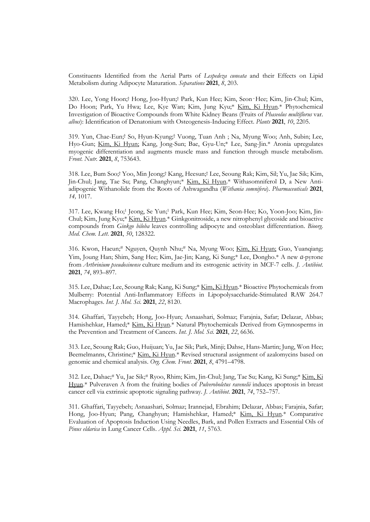Constituents Identified from the Aerial Parts of *Lespedeza cuneata* and their Effects on Lipid Metabolism during Adipocyte Maturation. *Separations* **2021**, *8*, 203.

320. Lee, Yong Hoon;† Hong, Joo-Hyun;† Park, Kun Hee; Kim, Seon-Hee; Kim, Jin-Chul; Kim, Do Hoon; Park, Yu Hwa; Lee, Kye Wan; Kim, Jung Kyu;\* Kim, Ki Hyun.\* Phytochemical Investigation of Bioactive Compounds from White Kidney Beans (Fruits of *Phaseolus multiflorus* var. *albus*): Identification of Denatonium with Osteogenesis-Inducing Effect. *Plants* **2021**, *10*, 2205.

319. Yun, Chae-Eun;† So, Hyun-Kyung;† Vuong, Tuan Anh ; Na, Myung Woo; Anh, Subin; Lee, Hyo-Gun; Kim, Ki Hyun; Kang, Jong-Sun; Bae, Gyu-Un;\* Lee, Sang-Jin.\* Aronia upregulates myogenic differentiation and augments muscle mass and function through muscle metabolism. *Front. Nutr.* **2021**, *8*, 753643.

318. Lee, Bum Soo;† Yoo, Min Jeong;† Kang, Heesun;† Lee, Seoung Rak; Kim, Sil; Yu, Jae Sik; Kim, Jin-Chul; Jang, Tae Su; Pang, Changhyun;\* Kim, Ki Hyun.\* Withasomniferol D, a New Anti adipogenic Withanolide from the Roots of Ashwagandha (*Withania somnifera*). *Pharmaceuticals* **2021**, *14,* 1017.

317. Lee, Kwang Ho;<sup>1</sup> Jeong, Se Yun;<sup>1</sup> Park, Kun Hee; Kim, Seon-Hee; Ko, Yoon-Joo; Kim, Jin- Chul; Kim, Jung Kyu;\* Kim, Ki Hyun.\* Ginkgonitroside, a new nitrophenyl glycoside and bioactive compounds from *Ginkgo biloba* leaves controlling adipocyte and osteoblast differentiation. *Bioorg. Med. Chem. Lett*. **2021**, *50*, 128322.

316. Kwon, Haeun;# Nguyen, Quynh Nhu;# Na, Myung Woo; Kim, Ki Hyun; Guo, Yuanqiang; Yim, Joung Han; Shim, Sang Hee; Kim, Jae-Jin; Kang, Ki Sung;\* Lee, Dongho.\* A new <sup>α</sup>-pyrone from *Arthrinium pseudosinense* culture medium and its estrogenic activity in MCF-7 cells. *J. Antibiot.*  **2021**, *74*, 893–897.

315. Lee, Dahae; Lee, Seoung Rak; Kang, Ki Sung;\* Kim, Ki Hyun.\* Bioactive Phytochemicals from Mulberry: Potential Anti-Inflammatory Effects in Lipopolysaccharide-Stimulated RAW 264.7 Macrophages. *Int. J. Mol. Sci.* **2021**, *22*, 8120.

314. Ghaffari, Tayyebeh; Hong, Joo-Hyun; Asnaashari, Solmaz; Farajnia, Safar; Delazar, Abbas; Hamishehkar, Hamed;\* Kim, Ki Hyun.\* Natural Phytochemicals Derived from Gymnosperms in the Prevention and Treatment of Cancers. *Int. J. Mol. Sci.* **2021**, *22*, 6636.

313. Lee, Seoung Rak; Guo, Huijuan; Yu, Jae Sik; Park, Minji; Dahse, Hans-Martin; Jung, Won Hee; Beemelmanns, Christine;\* Kim, Ki Hyun.\* Revised structural assignment of azalomycins based on genomic and chemical analysis. *Org. Chem. Front*. **2021**, *8*, 4791–4798.

312. Lee, Dahae;# Yu, Jae Sik;# Ryoo, Rhim; Kim, Jin-Chul; Jang, Tae Su; Kang, Ki Sung;\* Kim, Ki Hyun.\* Pulveraven A from the fruiting bodies of *Pulveroboletus ravenelii* induces apoptosis in breast cancer cell via extrinsic apoptotic signaling pathway. *J. Antibiot.* **2021**, *74*, 752–757.

311. Ghaffari, Tayyebeh; Asnaashari, Solmaz; Irannejad, Ebrahim; Delazar, Abbas; Farajnia, Safar; Hong, Joo-Hyun; Pang, Changhyun; Hamishehkar, Hamed;\* Kim, Ki Hyun.\* Comparative Evaluation of Apoptosis Induction Using Needles, Bark, and Pollen Extracts and Essential Oils of *Pinus eldarica* in Lung Cancer Cells. *Appl. Sci.* **2021**, *11*, 5763.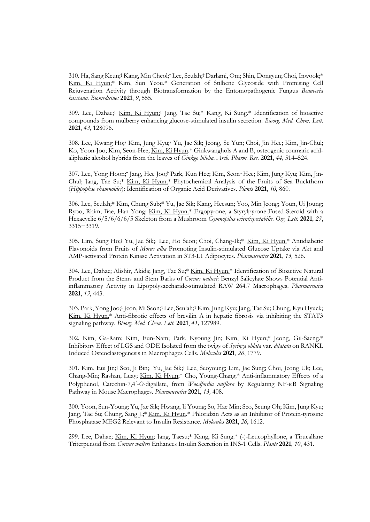310. Ha, Sang Keun;† Kang, Min Cheol;† Lee, Seulah;† Darlami, Om; Shin, Dongyun;Choi, Inwook;\* Kim, Ki Hyun;\* Kim, Sun Yeou.\* Generation of Stilbene Glycoside with Promising Cell Rejuvenation Activity through Biotransformation by the Entomopathogenic Fungus *Beauveria bassiana. Biomedicines* **2021**, *9*, 555.

309. Lee, Dahae;<sup>1</sup> Kim, Ki Hyun;<sup>1</sup> Jang, Tae Su;\* Kang, Ki Sung.\* Identification of bioactive compounds from mulberry enhancing glucose-stimulated insulin secretion. *Bioorg. Med. Chem. Lett*. **2021**, *43*, 128096.

308. Lee, Kwang Ho;<sup>a</sup> Kim, Jung Kyu;<sup>a</sup> Yu, Jae Sik; Jeong, Se Yun; Choi, Jin Hee; Kim, Jin-Chul; Ko, Yoon-Joo; Kim, Seon-Hee; Kim, Ki Hyun.\* Ginkwanghols A and B, osteogenic coumaric acidaliphatic alcohol hybrids from the leaves of *Ginkgo biloba*. *Arch. Pharm. Res.* **2021**, *44*, 514–524.

307. Lee, Yong Hoon;† Jang, Hee Joo;† Park, Kun Hee; Kim, Seon‑Hee; Kim, Jung Kyu; Kim, Jin- Chul; Jang, Tae Su;\* Kim, Ki Hyun.\* Phytochemical Analysis of the Fruits of Sea Buckthorn (*Hippophae rhamnoides*): Identification of Organic Acid Derivatives. *Plants* **2021**, *10*, 860.

306. Lee, Seulah;# Kim, Chung Sub;# Yu, Jae Sik; Kang, Heesun; Yoo, Min Jeong; Youn, Ui Joung; Ryoo, Rhim; Bae, Han Yong; Kim, Ki Hyun.\* Ergopyrone, a Styrylpyrone-Fused Steroid with a Hexacyclic 6/5/6/6/6/5 Skeleton from a Mushroom *Gymnopilus orientispectabilis. Org. Lett.* **2021**, *<sup>23</sup>*, 3315−3319.

305. Lim, Sung Ho;† Yu, Jae Sik;† Lee, Ho Seon; Choi, Chang-Ik;\* Kim, Ki Hyun.\* Antidiabetic Flavonoids from Fruits of *Morus alba* Promoting Insulin-stimulated Glucose Uptake via Akt and AMP-activated Protein Kinase Activation in 3T3-L1 Adipocytes. *Pharmaceutics* **2021**, *13,* 526.

304. Lee, Dahae; Alishir, Akida; Jang, Tae Su;\* Kim, Ki Hyun.\* Identification of Bioactive Natural Product from the Stems and Stem Barks of *Cornus walteri*: Benzyl Salicylate Shows Potential Antiinflammatory Activity in Lipopolysaccharide-stimulated RAW 264.7 Macrophages. *Pharmaceutics* **2021**, *13*, 443.

303. Park, Yong Joo;<sup>1</sup> Jeon, Mi Seon;1Lee, Seulah;<sup>1</sup> Kim, Jung Kyu; Jang, Tae Su; Chung, Kyu Hyuck; Kim, Ki Hyun.\* Anti-fibrotic effects of brevilin A in hepatic fibrosis via inhibiting the STAT3 signaling pathway. *Bioorg. Med. Chem. Lett*. **2021**, *41,* 127989.

302. Kim, Ga-Ram; Kim, Eun-Nam; Park, Kyoung Jin; Kim, Ki Hyun;\* Jeong, Gil-Saeng.\* Inhibitory Effect of LGS and ODE Isolated from the twigs of *Syringa oblata* var. *dilatata* on RANKL Induced Osteoclastogenesis in Macrophages Cells. *Molecules* **2021**, *26*, 1779.

301. Kim, Eui Jin;† Seo, Ji Bin;† Yu, Jae Sik;† Lee, Seoyoung; Lim, Jae Sung; Choi, Jeong Uk; Lee, Chang-Min; Rashan, Luay; Kim, Ki Hyun;\* Cho, Young-Chang.\* Anti-inflammatory Effects of a Polyphenol, Catechin-7,4′-*O*-digallate, from *Woodfordia uniflora* by Regulating NF-κB Signaling Pathway in Mouse Macrophages. *Pharmaceutics* **2021**, *13,* 408.

300. Yoon, Sun-Young; Yu, Jae Sik; Hwang, Ji Young; So, Hae Min; Seo, Seung Oh; Kim, Jung Kyu; Jang, Tae Su; Chung, Sang J.;\* Kim, Ki Hyun.\* Phloridzin Acts as an Inhibitor of Protein-tyrosine Phosphatase MEG2 Relevant to Insulin Resistance. *Molecules* **2021**, *26*, 1612.

299. Lee, Dahae; Kim, Ki Hyun; Jang, Taesu;\* Kang, Ki Sung.\* (-)-Leucophyllone, a Tirucallane Triterpenoid from *Cornus walteri* Enhances Insulin Secretion in INS-1 Cells. *Plants* **2021**, *10*, 431.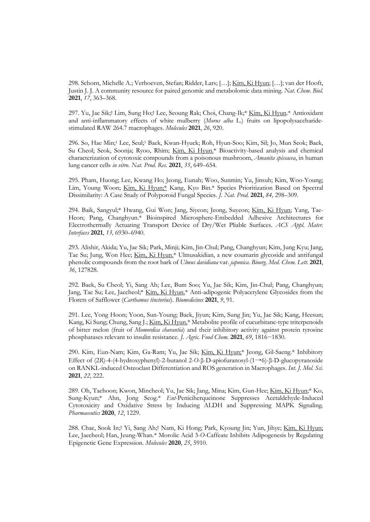298. Schorn, Michelle A.; Verhoeven, Stefan; Ridder, Lars; […]; Kim, Ki Hyun; […]; van der Hooft, Justin J. J. A community resource for paired genomic and metabolomic data mining. *Nat. Chem. Biol.* **2021**, *17*, 363–368.

297. Yu, Jae Sik;† Lim, Sung Ho;† Lee, Seoung Rak; Choi, Chang-Ik;\* Kim, Ki Hyun.\* Antioxidant and anti-inflammatory effects of white mulberry (*Morus alba* L.) fruits on lipopolysaccharide stimulated RAW 264.7 macrophages. *Molecules* **2021**, *26*, 920.

296. So, Hae Min;<sup>1</sup> Lee, Seul;<sup>1</sup> Baek, Kwan-Hyuck; Roh, Hyun-Soo; Kim, Sil; Jo, Mun Seok; Baek, Su Cheol; Seok, Soonja; Ryoo, Rhim; Kim, Ki Hyun.\* Bioactivity-based analysis and chemical characterization of cytotoxic compounds from a poisonous mushroom, *Amanita spissacea*, in human lung cancer cells *in vitro*. *Nat. Prod*. *Res*. **2021**, *35*, 649–654.

295. Pham, Huong; Lee, Kwang Ho; Jeong, Eunah; Woo, Sunmin; Yu, Jinsuh; Kim, Woo-Young; Lim, Young Woon; Kim, Ki Hyun;\* Kang, Kyo Bin.\* Species Prioritization Based on Spectral Dissimilarity: A Case Study of Polyporoid Fungal Species. *J. Nat. Prod*. **2021**, *84,* 298–309.

294. Baik, Sangyul;\* Hwang, Gui Won; Jang, Siyeon; Jeong, Suyeon; Kim, Ki Hyun; Yang, Tae- Heon; Pang, Changhyun.\* Bioinspired Microsphere-Embedded Adhesive Architectures for Electrothermally Actuating Transport Device of Dry/Wet Pliable Surfaces. *ACS Appl. Mater. Interfaces* **2021**, *13,* 6930–6940.

293. Alishir, Akida; Yu, Jae Sik; Park, Minji; Kim, Jin-Chul; Pang, Changhyun; Kim, Jung Kyu; Jang, Tae Su; Jung, Won Hee; Kim, Ki Hyun.\* Ulmusakidian, a new coumarin glycoside and antifungal phenolic compounds from the root bark of *Ulmus davidiana* var. *japonica*. *Bioorg. Med. Chem. Lett*. **2021**, *36*, 127828.

292. Baek, Su Cheol; Yi, Sang Ah; Lee, Bum Soo; Yu, Jae Sik; Kim, Jin-Chul; Pang, Changhyun; Jang, Tae Su; Lee, Jaecheol;\* Kim, Ki Hyun.\* Anti-adipogenic Polyacetylene Glycosides from the Florets of Safflower (*Carthamus tinctorius*). *Biomedicines* **2021**, *9*, 91.

291. Lee, Yong Hoon; Yoon, Sun-Young; Baek, Jiyun; Kim, Sung Jin; Yu, Jae Sik; Kang, Heesun; Kang, Ki Sung; Chung, Sang J.; Kim, Ki Hyun.\* Metabolite profile of cucurbitane-type triterpenoids of bitter melon (fruit of *Momordica charantia*) and their inhibitory activity against protein tyrosine phosphatases relevant to insulin resistance. *J. Agric. Food Chem.* **2021**, *69*, 1816−1830.

290. Kim, Eun-Nam; Kim, Ga-Ram; Yu, Jae Sik; Kim, Ki Hyun;\* Jeong, Gil-Saeng.\* Inhibitory Effect of (2*R*)-4-(4-hydroxyphenyl)-2-butanol 2-*O*-β-D-apiofuranosyl-(1→6)-β-D-glucopyranoside on RANKL-induced Osteoclast Differentiation and ROS generation in Macrophages. *Int. J. Mol. Sci.*  **2021**, *22*, 222.

289. Oh, Taehoon; Kwon, Mincheol; Yu, Jae Sik; Jang, Mina; Kim, Gun-Hee; Kim, Ki Hyun;\* Ko, Sung-Kyun;\* Ahn, Jong Seog.\* *Ent*-Peniciherqueinone Suppresses Acetaldehyde-Induced Cytotoxicity and Oxidative Stress by Inducing ALDH and Suppressing MAPK Signaling. *Pharmaceutics* **2020**, *12*, 1229.

288. Chae, Sook In;† Yi, Sang Ah;† Nam, Ki Hong; Park, Kyoung Jin; Yun, Jihye; Kim, Ki Hyun; Lee, Jaecheol; Han, Jeung-Whan.\* Morolic Acid 3-*O*-Caffeate Inhibits Adipogenesis by Regulating Epigenetic Gene Expression. *Molecules* **2020**, *25*, 5910.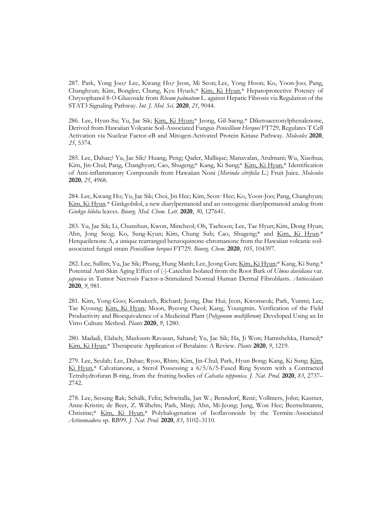287. Park, Yong Joo;<sup>a</sup> Lee, Kwang Ho;<sup>a</sup> Jeon, Mi Seon; Lee, Yong Hoon; Ko, Yoon-Joo; Pang, Changhyun; Kim, Bonglee; Chung, Kyu Hyuck;\* Kim, Ki Hyun.\* Hepatoprotective Potency of Chrysophanol 8-*O*-Glucoside from *Rheum palmatum* L. against Hepatic Fibrosis via Regulation of the STAT3 Signaling Pathway. *Int. J. Mol. Sci.* **2020**, *21*, 9044.

286. Lee, Hyun-Su; Yu, Jae Sik; Kim, Ki Hyun;\* Jeong, Gil-Saeng.\* Diketoacetonylphenalenone, Derived from Hawaiian Volcanic Soil-Associated Fungus *Penicillium Herquei* FT729*,* Regulates T Cell Activation via Nuclear Factor-κB and Mitogen-Activated Protein Kinase Pathway. *Molecules* **2020**, *25*, 5374.

285. Lee, Dahae;† Yu, Jae Sik;† Huang, Peng; Qader, Mallique; Manavalan, Arulmani; Wu, Xiaohua; Kim, Jin-Chul; Pang, Changhyun; Cao, Shugeng;\* Kang, Ki Sung;\* Kim, Ki Hyun.\* Identification of Anti-inflammatory Compounds from Hawaiian Noni (*Morinda citrifolia* L.) Fruit Juice. *Molecules* **2020**, *25*, 4968.

284. Lee, Kwang Ho; Yu, Jae Sik; Choi, Jin Hee; Kim, Seon‑Hee; Ko, Yoon-Joo; Pang, Changhyun; Kim, Ki Hyun.\* Ginkgobilol, a new diarylpentanoid and an osteogenic diarylpentanoid analog from *Ginkgo biloba* leaves. *Bioorg. Med. Chem. Lett*. **2020**, *30*, 127641.

283. Yu, Jae Sik; Li, Chunshun, Kwon, Mincheol; Oh, Taehoon; Lee, Tae Hyun; Kim, Dong Hyun; Ahn, Jong Seog; Ko, Sung-Kyun; Kim, Chung Sub; Cao, Shugeng;\* and Kim, Ki Hyun.\* Herqueilenone A, a unique rearranged benzoquinone-chromanone from the Hawaiian volcanic soil associated fungal strain *Penicillium herquei* FT729. *Bioorg. Chem.* **2020**, *105*, 104397.

282. Lee, Sullim; Yu, Jae Sik; Phung, Hung Manh; Lee, Jeong Gun; Kim, Ki Hyun;\* Kang, Ki Sung.\* Potential Anti-Skin Aging Effect of (-)-Catechin Isolated from the Root Bark of *Ulmus davidiana* var. *japonica* in Tumor Necrosis Factor-α-Stimulated Normal Human Dermal Fibroblasts. *Antioxidants* **2020**, *9*, 981.

281. Kim, Yong-Goo; Komakech, Richard; Jeong, Dae Hui; Jeon, Kwonseok; Park, Yunmi; Lee, Tae Kyoung; Kim, Ki Hyun; Moon, Byeong Cheol; Kang, Youngmin. Verification of the Field Productivity and Bioequivalence of a Medicinal Plant (*Polygonum multiflorum*) Developed Using an In Vitro Culture Method. *Plants* **2020**, *9*, 1280.

280. Madadi, Elaheh; Mazloum-Ravasan, Sahand; Yu, Jae Sik; Ha, Ji Won; Hamishehka, Hamed;\* Kim, Ki Hyun.\* Therapeutic Application of Betalains: A Review. *Plants* **2020**, *9*, 1219.

279. Lee, Seulah; Lee, Dahae; Ryoo, Rhim; Kim, Jin-Chul; Park, Hyun Bong; Kang, Ki Sung; Kim, Ki Hyun.\* Calvatianone, a Sterol Possessing a 6/5/6/5-Fused Ring System with a Contracted Tetrahydrofuran B-ring, from the fruiting bodies of *Calvatia nipponica*. *J. Nat. Prod*. **2020**, *83*, 2737– 2742.

278. Lee, Seoung Rak; Schalk, Felix; Schwitalla, Jan W.; Benndorf, René; Vollmers, John; Kastner, Anne-Kristin; de Beer, Z. Wilhelm; Park, Minji; Ahn, Mi-Jeong; Jung, Won Hee; Beemelmanns, Christine;\* Kim, Ki Hyun.\* Polyhalogenation of Isoflavonoids by the Termite-Associated *Actinomadura* sp. RB99. *J. Nat. Prod*. **2020**, *83*, 3102–3110*.*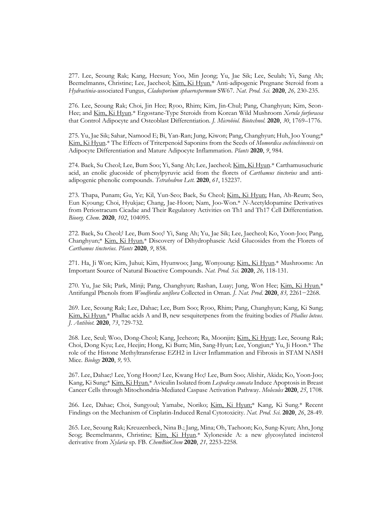277. Lee, Seoung Rak; Kang, Heesun; Yoo, Min Jeong; Yu, Jae Sik; Lee, Seulah; Yi, Sang Ah; Beemelmanns, Christine; Lee, Jaecheol; Kim, Ki Hyun.\* Anti-adipogenic Pregnane Steroid from a *Hydractinia*-associated Fungus, *Cladosporium sphaerospermum* SW67. *Nat. Prod. Sci.* **2020**, *26,* 230-235.

276. Lee, Seoung Rak; Choi, Jin Hee; Ryoo, Rhim; Kim, Jin-Chul; Pang, Changhyun; Kim, Seon- Hee; and Kim, Ki Hyun.\* Ergostane-Type Steroids from Korean Wild Mushroom *Xerula furfuracea* that Control Adipocyte and Osteoblast Differentiation. *J. Microbiol. Biotechnol.* **2020**, *30*, 1769–1776.

275. Yu, Jae Sik; Sahar, Namood E; Bi, Yan-Ran; Jung, Kiwon; Pang, Changhyun; Huh, Joo Young;\* Kim, Ki Hyun.\* The Effects of Triterpenoid Saponins from the Seeds of *Momordica cochinchinensis* on Adipocyte Differentiation and Mature Adipocyte Inflammation. *Plants* **2020**, *9*, 984.

274. Baek, Su Cheol; Lee, Bum Soo; Yi, Sang Ah; Lee, Jaecheol; Kim, Ki Hyun.\* Carthamusuchuric acid, an enolic glucoside of phenylpyruvic acid from the florets of *Carthamus tinctorius* and anti adipogenic phenolic compounds. *Tetrahedron Lett.* **2020**, *61*, 152237.

273. Thapa, Punam; Gu, Ye; Kil, Yun-Seo; Baek, Su Cheol; Kim, Ki Hyun; Han, Ah-Reum; Seo, Eun Kyoung; Choi, Hyukjae; Chang, Jae-Hoon; Nam, Joo-Won.\* *N*-Acetyldopamine Derivatives from Periostracum Cicadae and Their Regulatory Activities on Th1 and Th17 Cell Differentiation. *Bioorg. Chem.* **2020**, *102*, 104095.

272. Baek, Su Cheol;† Lee, Bum Soo;† Yi, Sang Ah; Yu, Jae Sik; Lee, Jaecheol; Ko, Yoon-Joo; Pang, Changhyun;\* Kim, Ki Hyun.\* Discovery of Dihydrophaseic Acid Glucosides from the Florets of *Carthamus tinctorius. Plants* **2020**, *9*, 858.

271. Ha, Ji Won; Kim, Juhui; Kim, Hyunwoo; Jang, Wonyoung; Kim, Ki Hyun.\* Mushrooms: An Important Source of Natural Bioactive Compounds. *Nat. Prod. Sci.* **2020**, *26,* 118-131.

270. Yu, Jae Sik; Park, Minji; Pang, Changhyun; Rashan, Luay; Jung, Won Hee; Kim, Ki Hyun.\* Antifungal Phenols from *Woodfordia uniflora* Collected in Oman. *J. Nat. Prod*. **2020**, *83,* 2261−2268.

269. Lee, Seoung Rak; Lee, Dahae; Lee, Bum Soo; Ryoo, Rhim; Pang, Changhyun; Kang, Ki Sung; Kim, Ki Hyun.\* Phallac acids A and B, new sesquiterpenes from the fruiting bodies of *Phallus luteus*. *J. Antibiot.* **2020**, *73*, 729-732.

268. Lee, Seul; Woo, Dong-Cheol; Kang, Jeeheon; Ra, Moonjin; Kim, Ki Hyun; Lee, Seoung Rak; Choi, Dong Kyu; Lee, Heejin; Hong, Ki Bum; Min, Sang-Hyun; Lee, Yongjun;\* Yu, Ji Hoon.\* The role of the Histone Methyltransferase EZH2 in Liver Inflammation and Fibrosis in STAM NASH Mice. *Biology* **2020**, *9,* 93.

267. Lee, Dahae;† Lee, Yong Hoon;† Lee, Kwang Ho;† Lee, Bum Soo; Alishir, Akida; Ko, Yoon-Joo; Kang, Ki Sung;\* Kim, Ki Hyun.\* Aviculin Isolated from *Lespedeza cuneata* Induce Apoptosis in Breast Cancer Cells through Mitochondria-Mediated Caspase Activation Pathway. *Molecules* **2020**, *25*, 1708.

266. Lee, Dahae; Choi, Sungyoul; Yamabe, Noriko; Kim, Ki Hyun;\* Kang, Ki Sung.\* Recent Findings on the Mechanism of Cisplatin-Induced Renal Cytotoxicity. *Nat. Prod. Sci.* **2020**, *26*, 28-49.

265. Lee, Seoung Rak; Kreuzenbeck, Nina B.; Jang, Mina; Oh, Taehoon; Ko, Sung-Kyun; Ahn, Jong Seog; Beemelmanns, Christine; Kim, Ki Hyun.\* Xyloneside A: a new glycosylated incisterol derivative from *Xylaria* sp. FB. *ChemBioChem* **2020**, *21,* 2253-2258.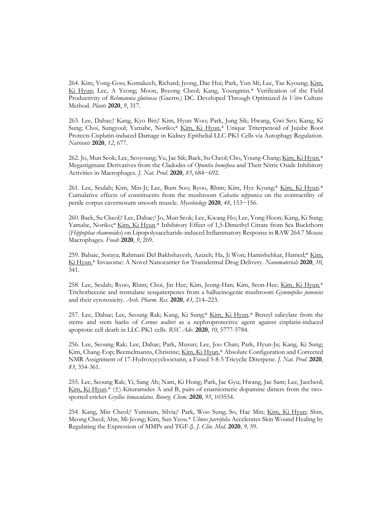264. Kim, Yong-Goo; Komakech, Richard; Jeong, Dae Hui; Park, Yun Mi; Lee, Tae Kyoung; Kim, Ki Hyun; Lee, A Yeong; Moon, Byeong Cheol; Kang, Youngmin.\* Verification of the Field Productivity of *Rehmannia glutinosa* (Gaertn.) DC. Developed Through Optimized *In Vitro* Culture

Method. *Plants* **<sup>2020</sup>**, *9*, 317. 263. Lee, Dahae;† Kang, Kyo Bin;† Kim, Hyun Woo; Park, Jung Sik; Hwang, Gwi Seo; Kang, Ki Sung; Choi, Sungyoul; Yamabe, Noriko;\* Kim, Ki Hyun.\* Unique Triterpenoid of Jujube Root Protects Cisplatin-induced Damage in Kidney Epithelial LLC-PK1 Cells via Autophagy Regulation. *Nutrients* **2020**, *12*, 677.

262. Jo, Mun Seok; Lee, Seoyoung; Yu, Jae Sik; Baek, Su Cheol; Cho, Young-Chang; Kim, Ki Hyun.\* Megastigmane Derivatives from the Cladodes of *Opuntia humifusa* and Their Nitric Oxide Inhibitory Activities in Macrophages. *J. Nat. Prod*. **2020**, *83*, 684−692.

261. Lee, Seulah; Kim, Min-Ji; Lee, Bum Soo; Ryoo, Rhim; Kim, Hye Kyung;\* Kim, Ki Hyun.\* Cumulative effects of constituents from the mushroom *Calvatia nipponica* on the contractility of penile corpus cavernosum smooth muscle. *Mycobiology* **2020**, *48*, 153−156.

260. Baek, Su Cheol;† Lee, Dahae;† Jo, Mun Seok; Lee, Kwang Ho; Lee, Yong Hoon; Kang, Ki Sung; Yamabe, Noriko;\* Kim, Ki Hyun.\* Inhibitory Effect of 1,5-Dimethyl Citrate from Sea Buckthorn (*Hippophae rhamnoides*) on Lipopolysaccharide-induced Inflammatory Response in RAW 264.7 Mouse Macrophages. *Foods* **2020**, *9*, 269.

259. Babaie, Soraya; Rahmani Del Bakhshayesh, Azizeh; Ha, Ji Won; Hamishehkar, Hamed;\* Kim, Ki Hyun.\* Invasome: A Novel Nanocarrier for Transdermal Drug Delivery. *Nanomaterials* **<sup>2020</sup>**, *10*, 341.

258. Lee, Seulah; Ryoo, Rhim; Choi, Jin Hee; Kim, Jeong-Han; Kim, Seon-Hee; Kim, Ki Hyun.\* Trichothecene and tremulane sesquiterpenes from a hallucinogenic mushroom *Gymnopilus junonius* and their cytotoxicity. *Arch. Pharm. Res.* **2020**, *43*, 214–223.

257. Lee, Dahae; Lee, Seoung Rak; Kang, Ki Sung;\* Kim, Ki Hyun.\* Benzyl salicylate from the stems and stem barks of *Cornus walteri* as a nephroprotective agent against cisplatin-induced apoptotic cell death in LLC-PK1 cells. *RSC Adv.* **2020**, *10*, 5777-5784.

256. Lee, Seoung Rak; Lee, Dahae; Park, Musun; Lee, Joo Chan; Park, Hyun-Ju; Kang, Ki Sung; Kim, Chang-Eop; Beemelmanns, Christine; Kim, Ki Hyun.\* Absolute Configuration and Corrected NMR Assignment of 17-Hydroxycyclooctatin, a Fused 5-8-5 Tricyclic Diterpene. *J. Nat. Prod*. **2020**, *83*, 354-361.

255. Lee, Seoung Rak; Yi, Sang Ah; Nam, Ki Hong; Park, Jae Gyu; Hwang, Jae Sam; Lee, Jaecheol; Kim, Ki Hyun.\*  $(\pm)$ -Kituramides A and B, pairs of enantiomeric dopamine dimers from the twospotted cricket *Gryllus bimaculatus. Bioorg. Chem*. **2020**, *95*, 103554.

254. Kang, Min Cheol;† Yumnam, Silvia;† Park, Woo Sung; So, Hae Min; Kim, Ki Hyun; Shin, Meong Cheol; Ahn, Mi-Jeong; Kim, Sun Yeou.\* *Ulmus parvifolia* Accelerates Skin Wound Healing by Regulating the Expression of MMPs and TGF-β. *J. Clin. Med.* **2020**, *9,* 59.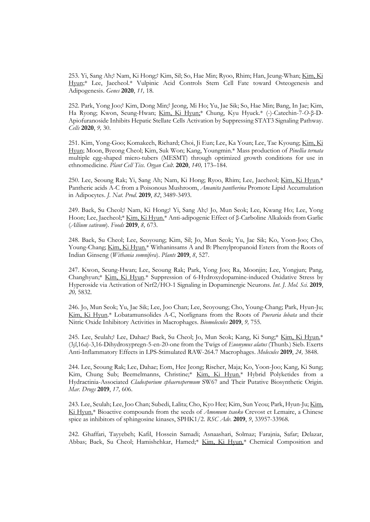253. Yi, Sang Ah;† Nam, Ki Hong;† Kim, Sil; So, Hae Min; Ryoo, Rhim; Han, Jeung-Whan; Kim, Ki Hyun;\* Lee, Jaecheol.\* Vulpinic Acid Controls Stem Cell Fate toward Osteogenesis and Adipogenesis. *Genes* **2020**, *11,* 18.

252. Park, Yong Joo;† Kim, Dong Min;† Jeong, Mi Ho; Yu, Jae Sik; So, Hae Min; Bang, In Jae; Kim, Ha Ryong; Kwon, Seung-Hwan; Kim, Ki Hyun;\* Chung, Kyu Hyuck.\* (-)-Catechin-7-*O*-β-D- Apiofuranoside Inhibits Hepatic Stellate Cells Activation by Suppressing STAT3 Signaling Pathway. *Cells* **2020**, *9,* 30.

251. Kim, Yong-Goo; Komakech, Richard; Choi, Ji Eun; Lee, Ka Youn; Lee, Tae Kyoung; Kim, Ki Hyun; Moon, Byeong Cheol; Kim, Suk Won; Kang, Youngmin.\* Mass production of *Pinellia ternata* multiple egg-shaped micro-tubers (MESMT) through optimized growth conditions for use in ethnomedicine. *Plant Cell Tiss. Organ Cult*. **2020**, *140,* 173–184.

250. Lee, Seoung Rak; Yi, Sang Ah; Nam, Ki Hong; Ryoo, Rhim; Lee, Jaecheol; Kim, Ki Hyun.\* Pantheric acids A-C from a Poisonous Mushroom, *Amanita pantherina* Promote Lipid Accumulation in Adipocytes. *J. Nat. Prod*. **2019**, *82*, 3489-3493.

249. Baek, Su Cheol;† Nam, Ki Hong;† Yi, Sang Ah;† Jo, Mun Seok; Lee, Kwang Ho; Lee, Yong Hoon; Lee, Jaecheol;\* Kim, Ki Hyun.\* Anti-adipogenic Effect of β-Carboline Alkaloids from Garlic (*Allium sativum*). *Foods* **2019**, *8,* 673.

248. Baek, Su Cheol; Lee, Seoyoung; Kim, Sil; Jo, Mun Seok; Yu, Jae Sik; Ko, Yoon-Joo; Cho, Young-Chang; Kim, Ki Hyun.\* Withaninsams A and B: Phenylpropanoid Esters from the Roots of Indian Ginseng (*Withania somnifera*). *Plants* **2019**, *8*, 527.

247. Kwon, Seung-Hwan; Lee, Seoung Rak; Park, Yong Joo; Ra, Moonjin; Lee, Yongjun; Pang, Changhyun;\* Kim, Ki Hyun.\* Suppression of 6-Hydroxydopamine-induced Oxidative Stress by Hyperoside via Activation of Nrf2/HO-1 Signaling in Dopaminergic Neurons. *Int. J. Mol. Sci.* **2019**, *20,* 5832.

246. Jo, Mun Seok; Yu, Jae Sik; Lee, Joo Chan; Lee, Seoyoung; Cho, Young-Chang; Park, Hyun-Ju; Kim, Ki Hyun.\* Lobatamunsolides A-C, Norlignans from the Roots of *Pueraria lobata* and their Nitric Oxide Inhibitory Activities in Macrophages. *Biomolecules* **2019**, *9,* 755.

245. Lee, Seulah;† Lee, Dahae;† Baek, Su Cheol; Jo, Mun Seok; Kang, Ki Sung;\* Kim, Ki Hyun.\* (3*β*,16*α*)-3,16-Dihydroxypregn-5-en-20-one from the Twigs of *Euonymus alatus* (Thunb.) Sieb. Exerts Anti-Inflammatory Effects in LPS-Stimulated RAW-264.7 Macrophages. *Molecules* **2019**, *24,* 3848.

244. Lee, Seoung Rak; Lee, Dahae; Eom, Hee Jeong; Rischer, Maja; Ko, Yoon-Joo; Kang, Ki Sung; Kim, Chung Sub; Beemelmanns, Christine;\* Kim, Ki Hyun.\* Hybrid Polyketides from a Hydractinia-Associated *Cladosporium sphaerospermum* SW67 and Their Putative Biosynthetic Origin. *Mar. Drugs* **2019**, *17,* 606.

243. Lee, Seulah; Lee, Joo Chan; Subedi, Lalita; Cho, Kyo Hee; Kim, Sun Yeou; Park, Hyun-Ju; Kim, Ki Hyun.\* Bioactive compounds from the seeds of *Amomum tsaoko* Crevost et Lemaire, a Chinese spice as inhibitors of sphingosine kinases, SPHK1/2. *RSC Adv.* **2019**, *9*, 33957-33968.

242. Ghaffari, Tayyebeh; Kafil, Hossein Samadi; Asnaashari, Solmaz; Farajnia, Safar; Delazar, Abbas; Baek, Su Cheol; Hamishehkar, Hamed;\* Kim, Ki Hyun.\* Chemical Composition and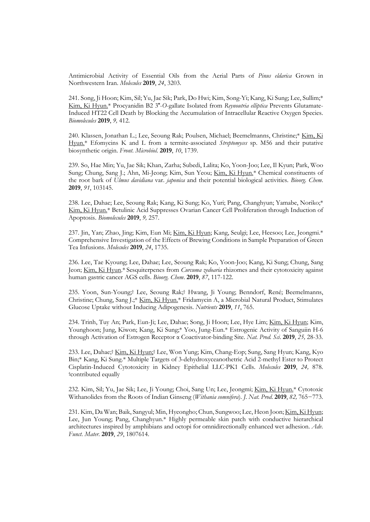Antimicrobial Activity of Essential Oils from the Aerial Parts of *Pinus eldarica* Grown in Northwestern Iran. *Molecules* **2019**, *24*, 3203.

241. Song, Ji Hoon; Kim, Sil; Yu, Jae Sik; Park, Do Hwi; Kim, Song-Yi; Kang, Ki Sung; Lee, Sullim;\* Kim, Ki Hyun.<sup>\*</sup> Procyanidin B2 3<sup>"</sup>-O-gallate Isolated from *Reynoutria elliptica* Prevents Glutamate-Induced HT22 Cell Death by Blocking the Accumulation of Intracellular Reactive Oxygen Species. *Biomolecules* **2019**, *9,* 412.

240. Klassen, Jonathan L.; Lee, Seoung Rak; Poulsen, Michael; Beemelmanns, Christine;\* Kim, Ki Hyun.\* Efomycins K and L from a termite-associated *Streptomyces* sp. M56 and their putative biosynthetic origin. *Front. Microbiol*. **2019**, *10*, 1739.

239. So, Hae Min; Yu, Jae Sik; Khan, Zarha; Subedi, Lalita; Ko, Yoon-Joo; Lee, Il Kyun; Park, Woo Sung; Chung, Sang J.; Ahn, Mi-Jeong; Kim, Sun Yeou; Kim, Ki Hyun.\* Chemical constituents of the root bark of *Ulmus davidiana* var. *japonica* and their potential biological activities. *Bioorg. Chem*. **2019**, *91*, 103145.

238. Lee, Dahae; Lee, Seoung Rak; Kang, Ki Sung; Ko, Yuri; Pang, Changhyun; Yamabe, Noriko;\* Kim, Ki Hyun.\* Betulinic Acid Suppresses Ovarian Cancer Cell Proliferation through Induction of Apoptosis. *Biomolecules* **2019**, *9,* 257.

237. Jin, Yan; Zhao, Jing; Kim, Eun Mi; Kim, Ki Hyun; Kang, Seulgi; Lee, Heesoo; Lee, Jeongmi.\* Comprehensive Investigation of the Effects of Brewing Conditions in Sample Preparation of Green Tea Infusions. *Molecules* **2019**, *24*, 1735.

236. Lee, Tae Kyoung; Lee, Dahae; Lee, Seoung Rak; Ko, Yoon-Joo; Kang, Ki Sung; Chung, Sang Jeon; Kim, Ki Hyun.\* Sesquiterpenes from *Curcuma zedoaria* rhizomes and their cytotoxicity against human gastric cancer AGS cells. *Bioorg. Chem*. **2019**, *87*, 117-122.

235. Yoon, Sun-Young;† Lee, Seoung Rak;† Hwang, Ji Young; Benndorf, René; Beemelmanns, Christine; Chung, Sang J.;\* Kim, Ki Hyun.\* Fridamycin A, a Microbial Natural Product, Stimulates Glucose Uptake without Inducing Adipogenesis. *Nutrients* **2019**, *11*, 765.

234. Trinh, Tuy An; Park, Eun-Ji; Lee, Dahae; Song, Ji Hoon; Lee, Hye Lim; Kim, Ki Hyun; Kim, Younghoon; Jung, Kiwon; Kang, Ki Sung;\* Yoo, Jung-Eun.\* Estrogenic Activity of Sanguiin H-6 through Activation of Estrogen Receptor α Coactivator-binding Site. *Nat. Prod. Sci*. **2019**, *25,* 28-33.

233. Lee, Dahae;† Kim, Ki Hyun;† Lee, Won Yung; Kim, Chang-Eop; Sung, Sang Hyun; Kang, Kyo Bin;\* Kang, Ki Sung.\* Multiple Targets of 3-dehydroxyceanothetric Acid 2-methyl Ester to Protect Cisplatin-Induced Cytotoxicity in Kidney Epithelial LLC-PK1 Cells. *Molecules* **2019**, *24,* 878. †contributed equally

232. Kim, Sil; Yu, Jae Sik; Lee, Ji Young; Choi, Sang Un; Lee, Jeongmi; Kim, Ki Hyun.\* Cytotoxic Withanolides from the Roots of Indian Ginseng (*Withania somnifera*). *J. Nat. Prod*. **2019**, *82,* 765−773. 231. Kim, Da Wan; Baik, Sangyul; Min, Hyeongho; Chun, Sungwoo; Lee, Heon Joon; Kim, Ki Hyun;

Lee, Jun Young; Pang, Changhyun.\* Highly permeable skin patch with conductive hierarchical architectures inspired by amphibians and octopi for omnidirectionally enhanced wet adhesion. *Adv. Funct. Mater.* **2019**, *29*, 1807614.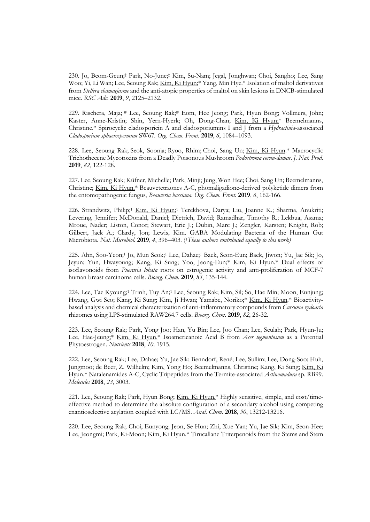230. Jo, Beom-Geun;‡ Park, No-June;‡ Kim, Su-Nam; Jegal, Jonghwan; Choi, Sangho; Lee, Sang Woo; Yi, Li Wan; Lee, Seoung Rak; Kim, Ki Hyun;\* Yang, Min Hye.\* Isolation of maltol derivatives from *Stellera chamaejasme* and the anti-atopic properties of maltol on skin lesions in DNCB-stimulated mice. *RSC Adv.* **2019**, *9*, 2125–2132.

229. Rischera, Maja; # Lee, Seoung Rak;# Eom, Hee Jeong; Park, Hyun Bong; Vollmers, John; Kaster, Anne-Kristin; Shin, Yern-Hyerk; Oh, Dong-Chan; Kim, Ki Hyun;\* Beemelmanns, Christine.\* Spirocyclic cladosporicin A and cladosporiumins I and J from a *Hydractinia*-associated *Cladosporium sphaerospermum* SW67*. Org. Chem. Front.* **2019**, *6*, 1084–1093.

228. Lee, Seoung Rak; Seok, Soonja; Ryoo, Rhim; Choi, Sang Un; Kim, Ki Hyun.\* Macrocyclic Trichothecene Mycotoxins from a Deadly Poisonous Mushroom *Podostroma cornu-damae*. *J. Nat. Prod*. **2019**, *82*, 122-128.

227. Lee, Seoung Rak; Küfner, Michelle; Park, Minji; Jung, Won Hee; Choi, Sang Un; Beemelmanns, Christine; Kim, Ki Hyun.\* Beauvetetraones A-C, phomaligadione-derived polyketide dimers from the entomopathogenic fungus, *Beauveria bassiana. Org. Chem. Front.* **2019**, *6*, 162-166.

226. Strandwitz, Philip;<sup>1</sup> Kim, Ki Hyun;<sup>1</sup> Terekhova, Darya; Liu, Joanne K.; Sharma, Anukriti; Levering, Jennifer; McDonald, Daniel; Dietrich, David; Ramadhar, Timothy R.; Lekbua, Asama; Mroue, Nader; Liston, Conor; Stewart, Eric J.; Dubin, Marc J.; Zengler, Karsten; Knight, Rob; Gilbert, Jack A.; Clardy, Jon; Lewis, Kim. GABA Modulating Bacteria of the Human Gut Microbiota. *Nat. Microbiol.* **2019**, *4*, 396–403. (1*These authors contributed equally to this work)*

225. Ahn, Soo-Yeon;<sup>1</sup> Jo, Mun Seok;<sup>1</sup> Lee, Dahae;<sup>1</sup> Baek, Seon-Eun; Baek, Jiwon; Yu, Jae Sik; Jo, Jeyun; Yun, Hwayoung; Kang, Ki Sung; Yoo, Jeong-Eun;\* Kim, Ki Hyun.\* Dual effects of isoflavonoids from *Pueraria lobata* roots on estrogenic activity and anti-proliferation of MCF-7 human breast carcinoma cells. *Bioorg. Chem*. **2019**, *83*, 135-144.

224. Lee, Tae Kyoung;<sup>1</sup> Trinh, Tuy An;<sup>1</sup> Lee, Seoung Rak; Kim, Sil; So, Hae Min; Moon, Eunjung; Hwang, Gwi Seo; Kang, Ki Sung; Kim, Ji Hwan; Yamabe, Noriko;\* Kim, Ki Hyun.\* Bioactivity based analysis and chemical characterization of anti-inflammatory compounds from *Curcuma zedoaria* rhizomes using LPS-stimulated RAW264.7 cells. *Bioorg. Chem*. **2019**, *82*, 26-32.

223. Lee, Seoung Rak; Park, Yong Joo; Han, Yu Bin; Lee, Joo Chan; Lee, Seulah; Park, Hyun-Ju; Lee, Hae-Jeung;\* Kim, Ki Hyun.\* Isoamericanoic Acid B from *Acer tegmentosum* as a Potential Phytoestrogen. *Nutrients* **2018**, *10,* 1915.

222. Lee, Seoung Rak; Lee, Dahae; Yu, Jae Sik; Benndorf, René; Lee, Sullim; Lee, Dong-Soo; Huh, Jungmoo; de Beer, Z. Wilhelm; Kim, Yong Ho; Beemelmanns, Christine; Kang, Ki Sung; Kim, Ki Hyun.\* Natalenamides A-C, Cyclic Tripeptides from the Termite-associated *Actinomadura* sp. RB99. *Molecules* **2018**, *23*, 3003.

221. Lee, Seoung Rak; Park, Hyun Bong; Kim, Ki Hyun.\* Highly sensitive, simple, and cost/timeeffective method to determine the absolute configuration of a secondary alcohol using competing enantioselective acylation coupled with LC/MS. *Anal. Chem.* **2018**, *90*, 13212-13216.

220. Lee, Seoung Rak; Choi, Eunyong; Jeon, Se Hun; Zhi, Xue Yan; Yu, Jae Sik; Kim, Seon-Hee; Lee, Jeongmi; Park, Ki-Moon; Kim, Ki Hyun.\* Tirucallane Triterpenoids from the Stems and Stem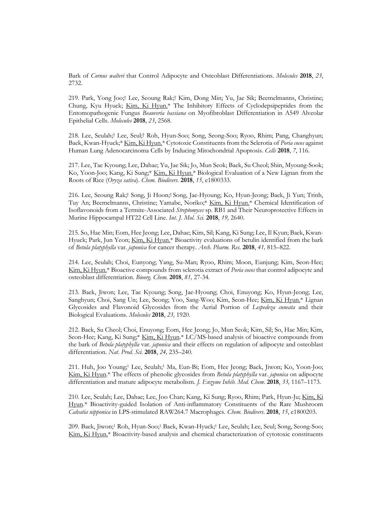Bark of *Cornus walteri* that Control Adipocyte and Osteoblast Differentiations. *Molecules* **<sup>2018</sup>**, *23*, 2732.

219. Park, Yong Joo;† Lee, Seoung Rak;† Kim, Dong Min; Yu, Jae Sik; Beemelmanns, Christine; Chung, Kyu Hyuck; Kim, Ki Hyun.\* The Inhibitory Effects of Cyclodepsipeptides from the Entomopathogenic Fungus *Beauveria bassiana* on Myofibroblast Differentiation in A549 Alveolar Epithelial Cells. *Molecules* **2018**, *23*, 2568.

218. Lee, Seulah;† Lee, Seul;† Roh, Hyun-Soo; Song, Seong-Soo; Ryoo, Rhim; Pang, Changhyun; Baek, Kwan-Hyuck;\* Kim, Ki Hyun.\* Cytotoxic Constituents from the Sclerotia of *Poria cocos* against Human Lung Adenocarcinoma Cells by Inducing Mitochondrial Apoptosis. *Cells* **2018**, *7*, 116.

217. Lee, Tae Kyoung; Lee, Dahae; Yu, Jae Sik; Jo, Mun Seok; Baek, Su Cheol; Shin, Myoung-Sook; Ko, Yoon-Joo; Kang, Ki Sung;\* Kim, Ki Hyun.\* Biological Evaluation of a New Lignan from the Roots of Rice (*Oryza sativa*). *Chem. Biodivers*. **2018**, *15*, e1800333.

216. Lee, Seoung Rak;† Song, Ji Hoon;† Song, Jae-Hyoung; Ko, Hyun-Jeong; Baek, Ji Yun; Trinh, Tuy An; Beemelmanns, Christine; Yamabe, Noriko;\* Kim, Ki Hyun.\* Chemical Identification of Isoflavonoids from a Termite-Associated *Streptomyces* sp. RB1 and Their Neuroprotective Effects in Murine Hippocampal HT22 Cell Line. *Int. J. Mol. Sci.* **2018**, *19,* 2640.

215. So, Hae Min; Eom, Hee Jeong; Lee, Dahae; Kim, Sil; Kang, Ki Sung; Lee, Il Kyun; Baek, Kwan- Hyuck; Park, Jun Yeon; Kim, Ki Hyun.\* Bioactivity evaluations of betulin identified from the bark of *Betula platyphylla* var. *japonica* for cancer therapy. *Arch. Pharm. Res.* **2018**, *41,* 815–822.

214. Lee, Seulah; Choi, Eunyong; Yang, Su-Man; Ryoo, Rhim; Moon, Eunjung; Kim, Seon-Hee; Kim, Ki Hyun.\* Bioactive compounds from sclerotia extract of *Poria cocos* that control adipocyte and osteoblast differentiation. *Bioorg. Chem.* **2018**, *81,* 27-34*.*

213. Baek, Jiwon; Lee, Tae Kyoung; Song, Jae-Hyoung; Choi, Enuyong; Ko, Hyun-Jeong; Lee, Sanghyun; Choi, Sang Un; Lee, Seong; Yoo, Sang-Woo; Kim, Seon-Hee; Kim, Ki Hyun.\* Lignan Glycosides and Flavonoid Glycosides from the Aerial Portion of *Lespedeza cuneata* and their Biological Evaluations. *Molecules* **2018**, *23,* 1920*.* 

212. Baek, Su Cheol; Choi, Enuyong; Eom, Hee Jeong; Jo, Mun Seok; Kim, Sil; So, Hae Min; Kim, Seon-Hee; Kang, Ki Sung;\* Kim, Ki Hyun.\* LC/MS-based analysis of bioactive compounds from the bark of *Betula platyphylla* var. *japonica* and their effects on regulation of adipocyte and osteoblast differentiation. *Nat. Prod. Sci*. **2018**, *24,* 235–240.

211. Huh, Joo Young;<sup>1</sup> Lee, Seulah;<sup>1</sup> Ma, Eun-Bi; Eom, Hee Jeong; Baek, Jiwon; Ko, Yoon-Joo; Kim, Ki Hyun.\* The effects of phenolic glycosides from *Betula platyphylla* var. *japonica* on adipocyte differentiation and mature adipocyte metabolism. *J. Enzyme Inhib. Med. Chem*. **2018**, *33,* 1167–1173.

210. Lee, Seulah; Lee, Dahae; Lee, Joo Chan; Kang, Ki Sung; Ryoo, Rhim; Park, Hyun-Ju; Kim, Ki Hyun.\* Bioactivity-guided Isolation of Anti-inflammatory Constituents of the Rare Mushroom *Calvatia nipponica* in LPS-stimulated RAW264.7 Macrophages. *Chem. Biodivers*. **2018**, *15*, e1800203.

209. Baek, Jiwon;<sup>1</sup> Roh, Hyun-Soo;<sup>1</sup> Baek, Kwan-Hyuck;<sup>1</sup> Lee, Seulah; Lee, Seul; Song, Seong-Soo; Kim, Ki Hyun.\* Bioactivity-based analysis and chemical characterization of cytotoxic constituents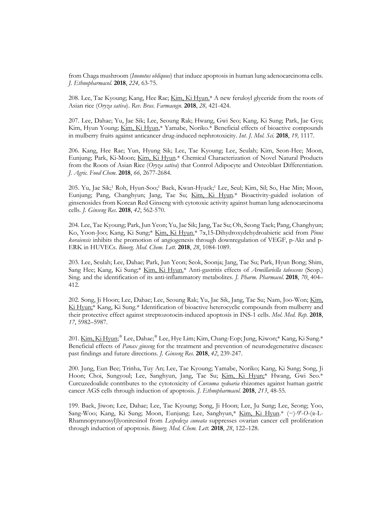from Chaga mushroom (*Inonotus obliquus*) that induce apoptosis in human lung adenocarcinoma cells. *J. Ethnopharmacol.* **2018**, *224,* 63-75.

208. Lee, Tae Kyoung; Kang, Hee Rae; Kim, Ki Hyun.\* A new feruloyl glyceride from the roots of Asian rice (*Oryza sativa*). *Rev. Bras. Farmacogn*. **2018**, *28,* 421-424.

207. Lee, Dahae; Yu, Jae Sik; Lee, Seoung Rak; Hwang, Gwi Seo; Kang, Ki Sung; Park, Jae Gyu; Kim, Hyun Young; Kim, Ki Hyun,\* Yamabe, Noriko.\* Beneficial effects of bioactive compounds in mulberry fruits against anticancer drug-induced nephrotoxicity. *Int. J. Mol. Sci.* **2018**, *19,* 1117.

206. Kang, Hee Rae; Yun, Hyung Sik; Lee, Tae Kyoung; Lee, Seulah; Kim, Seon-Hee; Moon, Eunjung; Park, Ki-Moon; Kim, Ki Hyun*.*\* Chemical Characterization of Novel Natural Products from the Roots of Asian Rice (*Oryza sativa*) that Control Adipocyte and Osteoblast Differentiation. *J. Agric. Food Chem*. **2018**, *66,* 2677-2684.

205. Yu, Jae Sik;<sup>1</sup> Roh, Hyun-Soo;<sup>1</sup> Baek, Kwan-Hyuck;<sup>1</sup> Lee, Seul; Kim, Sil; So, Hae Min; Moon, Eunjung; Pang, Changhyun; Jang, Tae Su; Kim, Ki Hyun.\* Bioactivity-guided isolation of ginsenosides from Korean Red Ginseng with cytotoxic activity against human lung adenocarcinoma cells. *J. Ginseng Res*. **2018**, *42*, 562-570.

204. Lee, Tae Kyoung; Park, Jun Yeon; Yu, Jae Sik; Jang, Tae Su; Oh, Seong Taek; Pang, Changhyun; Ko, Yoon-Joo; Kang, Ki Sung;\* Kim, Ki Hyun.\* 7α,15-Dihydroxydehydroabietic acid from *Pinus koraiensis* inhibits the promotion of angiogenesis through downregulation of VEGF, p-Akt and p- ERK in HUVECs. *Bioorg. Med. Chem. Lett.* **2018**, *28*, 1084-1089.

203. Lee, Seulah; Lee, Dahae; Park, Jun Yeon; Seok, Soonja; Jang, Tae Su; Park, Hyun Bong; Shim, Sang Hee; Kang, Ki Sung;\* Kim, Ki Hyun.\* Anti-gastritis effects of *Armillariella tabescens* (Scop.) Sing. and the identification of its anti-inflammatory metabolites. *J. Pharm. Pharmacol*. **2018**, *70*, 404– 412.

202. Song, Ji Hoon; Lee, Dahae; Lee, Seoung Rak; Yu, Jae Sik, Jang, Tae Su; Nam, Joo-Won; Kim, Ki Hyun;\* Kang, Ki Sung.\* Identification of bioactive heterocyclic compounds from mulberry and their protective effect against streptozotocin-induced apoptosis in INS-1 cells. *Mol. Med. Rep.* **2018**, *17*, 5982–5987.

201. <u>Kim, Ki Hyun</u>;\* Lee, Dahae;\* Lee, Hye Lim; Kim, Chang-Eop; Jung, Kiwon;\* Kang, Ki Sung.\* Beneficial effects of *Panax ginseng* for the treatment and prevention of neurodegenerative diseases: past findings and future directions. *J. Ginseng Res*. **2018**, *42*, 239-247.

200. Jung, Eun Bee; Trinha, Tuy An; Lee, Tae Kyoung; Yamabe, Noriko; Kang, Ki Sung; Song, Ji Hoon; Choi, Sungyoul; Lee, Sanghyun, Jang, Tae Su; Kim, Ki Hyun;\* Hwang, Gwi Seo.\* Curcuzedoalide contributes to the cytotoxicity of *Curcuma zedoaria* rhizomes against human gastric cancer AGS cells through induction of apoptosis. *J. Ethnopharmacol.* **2018**, *213*, 48-55.

199. Baek, Jiwon; Lee, Dahae; Lee, Tae Kyoung; Song, Ji Hoon; Lee, Ju Sung; Lee, Seong; Yoo, Sang-Woo; Kang, Ki Sung; Moon, Eunjung; Lee, Sanghyun,\* Kim, Ki Hyun.\* (−)-9′-*O*-(α-L- Rhamnopyranosyl)lyoniresinol from *Lespedeza cuneata* suppresses ovarian cancer cell proliferation through induction of apoptosis. *Bioorg. Med. Chem. Lett.* **2018**, *28*, 122–128.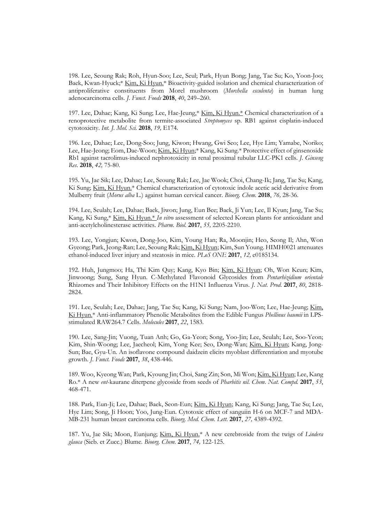198. Lee, Seoung Rak; Roh, Hyun-Soo; Lee, Seul; Park, Hyun Bong; Jang, Tae Su; Ko, Yoon-Joo; Baek, Kwan-Hyuck;\* Kim, Ki Hyun.\* Bioactivity-guided isolation and chemical characterization of antiproliferative constituents from Morel mushroom (*Morchella esculenta*) in human lung adenocarcinoma cells. *J. Funct. Foods* **2018**, *40*, 249–260.

197. Lee, Dahae; Kang, Ki Sung; Lee, Hae-Jeung,\* Kim, Ki Hyun.\* Chemical characterization of a renoprotective metabolite from termite-associated *Streptomyces* sp. RB1 against cisplatin-induced cytotoxicity. *Int. J. Mol. Sci.* **2018**, *19,* E174*.*

196. Lee, Dahae; Lee, Dong-Soo; Jung, Kiwon; Hwang, Gwi Seo; Lee, Hye Lim; Yamabe, Noriko; Lee, Hae-Jeong; Eom, Dae-Woon; Kim, Ki Hyun;\* Kang, Ki Sung.\* Protective effect of ginsenoside Rb1 against tacrolimus-induced nephrotoxicity in renal proximal tubular LLC-PK1 cells. *J. Ginseng Res*. **2018**, *42,* 75-80.

195. Yu, Jae Sik; Lee, Dahae; Lee, Seoung Rak; Lee, Jae Wook; Choi, Chang-Ik; Jang, Tae Su; Kang, Ki Sung; Kim, Ki Hyun.\* Chemical characterization of cytotoxic indole acetic acid derivative from Mulberry fruit (*Morus alba* L.) against human cervical cancer. *Bioorg. Chem.* **2018**, *76,* 28-36.

194. Lee, Seulah; Lee, Dahae; Baek, Jiwon; Jung, Eun Bee; Baek, Ji Yun; Lee, Il Kyun; Jang, Tae Su; Kang, Ki Sung,\* Kim, Ki Hyun.\* *In vitro* assessment of selected Korean plants for antioxidant and anti-acetylcholinesterase activities. *Pharm. Biol.* **2017**, *55,* 2205-2210.

193. Lee, Yongjun; Kwon, Dong-Joo, Kim, Young Han; Ra, Moonjin; Heo, Seong Il; Ahn, Won Gyeong; Park, Jeong-Ran; Lee, Seoung Rak; <u>Kim, Ki Hyun</u>; Kim, Sun Young. HIMH0021 attenuates ethanol-induced liver injury and steatosis in mice. *PLoS ONE* 2017, 12, e0185134.

192. Huh, Jungmoo; Ha, Thi Kim Quy; Kang, Kyo Bin; Kim, Ki Hyun; Oh, Won Keun; Kim, Jinwoong; Sung, Sang Hyun. C-Methylated Flavonoid Glycosides from *Pentarhizidium orientale* Rhizomes and Their Inhibitory Effects on the H1N1 Influenza Virus. *J. Nat. Prod*. **2017**, *80*, 2818- 2824.<br>191. Lee, Seulah; Lee, Dahae; Jang, Tae Su; Kang, Ki Sung; Nam, Joo-Won; Lee, Hae-Jeung; <u>Kim,</u>

Ki Hyun.\* Anti-inflammatory Phenolic Metabolites from the Edible Fungus *Phellinus baumii* in LPS stimulated RAW264.7 Cells. *Molecules* **2017**, *22*, 1583.

190. Lee, Sang-Jin; Vuong, Tuan Anh; Go, Ga-Yeon; Song, Yoo-Jin; Lee, Seulah; Lee, Soo-Yeon; Kim, Shin-Woong; Lee, Jaecheol; Kim, Yong Kee; Seo, Dong-Wan; Kim, Ki Hyun; Kang, Jong- Sun; Bae, Gyu-Un. An isoflavone compound daidzein elicits myoblast differentiation and myotube growth. *J. Funct. Foods* **2017**, *38*, 438-446.

189. Woo, Kyeong Wan; Park, Kyoung Jin; Choi, Sang Zin; Son, Mi Won; Kim, Ki Hyun; Lee, Kang Ro.\* A new *ent*-kaurane diterpene glycoside from seeds of *Pharbitis nil*. *Chem. Nat. Compd.* **<sup>2017</sup>**, *53*, 468-471.

188. Park, Eun-Ji; Lee, Dahae; Baek, Seon-Eun; Kim, Ki Hyun; Kang, Ki Sung; Jang, Tae Su; Lee, Hye Lim; Song, Ji Hoon; Yoo, Jung-Eun. Cytotoxic effect of sanguiin H-6 on MCF-7 and MDA- MB-231 human breast carcinoma cells. *Bioorg. Med. Chem. Lett.* **2017**, *27,* 4389-4392.

187. Yu, Jae Sik; Moon, Eunjung; Kim, Ki Hyun.\* A new cerebroside from the twigs of *Lindera glauca* (Sieb. et Zucc.) Blume. *Bioorg. Chem.* **2017**, *74,* 122-125.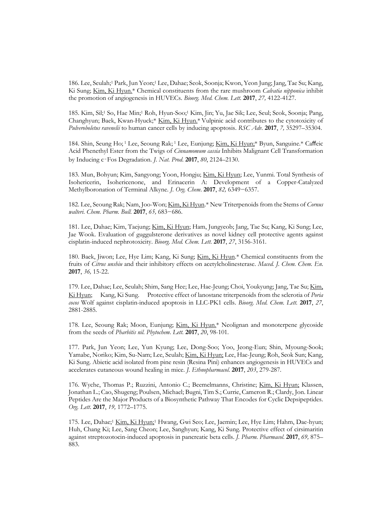186. Lee, Seulah;<sup>1</sup> Park, Jun Yeon;<sup>1</sup> Lee, Dahae; Seok, Soonja; Kwon, Yeon Jung; Jang, Tae Su; Kang, Ki Sung; Kim, Ki Hyun.\* Chemical constituents from the rare mushroom *Calvatia nipponica* inhibit the promotion of angiogenesis in HUVECs. *Bioorg. Med. Chem. Lett.* **2017**, *27,* 4122-4127.

185. Kim, Sil;<sup>1</sup> So, Hae Min;<sup>1</sup> Roh, Hyun-Soo;<sup>1</sup> Kim, Jin; Yu, Jae Sik; Lee, Seul; Seok, Soonja; Pang, Changhyun; Baek, Kwan-Hyuck;\* Kim, Ki Hyun.\* Vulpinic acid contributes to the cytotoxicity of *Pulveroboletus ravenelii* to human cancer cells by inducing apoptosis. *RSC Adv.* **2017**, *7,* 35297–35304.

184. Shin, Seung Ho; <sup>1</sup> Lee, Seoung Rak; <sup>1</sup> Lee, Eunjung; Kim, Ki Hyun;\* Byun, Sanguine.\* Caffeic Acid Phenethyl Ester from the Twigs of *Cinnamomum cassia* Inhibits Malignant Cell Transformation by Inducing c‑Fos Degradation. *J. Nat. Prod*. **2017**, *80*, 2124–2130.

183. Mun, Bohyun; Kim, Sangyong; Yoon, Hongju; Kim, Ki Hyun; Lee, Yunmi. Total Synthesis of Isohericerin, Isohericenone, and Erinacerin A: Development of a Copper-Catalyzed Methylboronation of Terminal Alkyne. *J. Org. Chem*. **2017**, *82,* 6349−6357.

182. Lee, Seoung Rak; Nam, Joo-Won; Kim, Ki Hyun.\* New Triterpenoids from the Stems of *Cornus walteri*. *Chem. Pharm. Bull.* **2017**, *65,* 683−686.

181. Lee, Dahae; Kim, Taejung; Kim, Ki Hyun; Ham, Jungyeob; Jang, Tae Su; Kang, Ki Sung; Lee, Jae Wook. Evaluation of guggulsterone derivatives as novel kidney cell protective agents against cisplatin-induced nephrotoxicity. *Bioorg. Med. Chem. Lett.* **2017**, *27*, 3156-3161*.*

180. Baek, Jiwon; Lee, Hye Lim; Kang, Ki Sung; Kim, Ki Hyun.\* Chemical constituents from the fruits of *Citrus unshiu* and their inhibitory effects on acetylcholinesterase. *Maced. J. Chem. Chem. En*. **2017**, *36,* 15-22.

179. Lee, Dahae; Lee, Seulah; Shim, Sang Hee; Lee, Hae-Jeung; Choi, Youkyung; Jang, Tae Su; Kim, Ki Hyun; Kang, Ki Sung. Protective effect of lanostane triterpenoids from the sclerotia of *Poria* cocos Wolf against cisplatin-induced apoptosis in LLC-PK1 cells. *Bioorg. Med. Chem. Lett.* 2017, 27, 2881-2885.

178. Lee, Seoung Rak; Moon, Eunjung; Kim, Ki Hyun.\* Neolignan and monoterpene glycoside from the seeds of *Pharbitis nil*. *Phytochem. Lett.* **2017**, *20*, 98-101*.*

177. Park, Jun Yeon; Lee, Yun Kyung; Lee, Dong-Soo; Yoo, Jeong-Eun; Shin, Myoung-Sook; Yamabe, Noriko; Kim, Su-Nam; Lee, Seulah; Kim, Ki Hyun; Lee, Hae-Jeung; Roh, Seok Sun; Kang, Ki Sung. Abietic acid isolated from pine resin (Resina Pini) enhances angiogenesis in HUVECs and accelerates cutaneous wound healing in mice. *J. Ethnopharmacol.* **2017**, *203*, 279-287*.*

176. Wyche, Thomas P.; Ruzzini, Antonio C.; Beemelmanns, Christine; Kim, Ki Hyun; Klassen, Jonathan L.; Cao, Shugeng; Poulsen, Michael; Bugni, Tim S.; Currie, Cameron R.; Clardy, Jon. Linear Peptides Are the Major Products of a Biosynthetic Pathway That Encodes for Cyclic Depsipeptides. *Org. Lett*. **2017**, *19,* 1772–1775*.*

175. Lee, Dahae;<sup>1</sup> Kim, Ki Hyun;<sup>1</sup> Hwang, Gwi Seo; Lee, Jaemin; Lee, Hye Lim; Hahm, Dae-hyun; Huh, Chang Ki; Lee, Sang Cheon; Lee, Sanghyun; Kang, Ki Sung. Protective effect of cirsimaritin against streptozotocin-induced apoptosis in pancreatic beta cells. *J. Pharm. Pharmacol*. **2017**, *69,* 875– 883.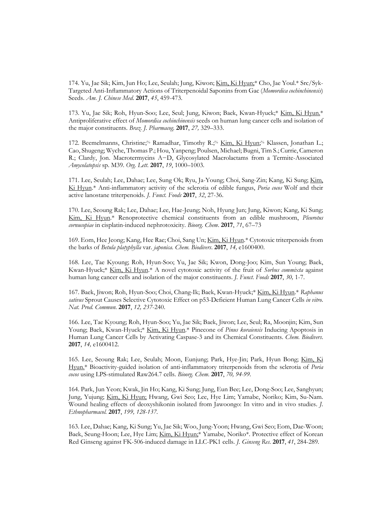174. Yu, Jae Sik; Kim, Jun Ho; Lee, Seulah; Jung, Kiwon; Kim, Ki Hyun;\* Cho, Jae Youl.\* Src/Syk- Targeted Anti-Inflammatory Actions of Triterpenoidal Saponins from Gac (*Momordica cochinchinensis*) Seeds. *Am. J. Chinese Med*. **2017**, *45*, 459-473.

173. Yu, Jae Sik; Roh, Hyun-Soo; Lee, Seul; Jung, Kiwon; Baek, Kwan-Hyuck;\* Kim, Ki Hyun.\* Antiproliferative effect of *Momordica cochinchinensis* seeds on human lung cancer cells and isolation of the major constituents. *Braz. J. Pharmacog.* **2017**, *27,* 329–333.

172. Beemelmanns, Christine;<sup>%</sup> Ramadhar, Timothy R.;<sup>%</sup> Kim, Ki Hyun;<sup>%</sup> Klassen, Jonathan L.; Cao, Shugeng; Wyche, Thomas P.; Hou, Yanpeng; Poulsen, Michael; Bugni, Tim S.; Currie, Cameron R.; Clardy, Jon. Macrotermycins A−D, Glycosylated Macrolactams from a Termite-Associated *Amycolatopsis* sp. M39. *Org. Lett*. **2017**, *19*, 1000–1003*.*

171. Lee, Seulah; Lee, Dahae; Lee, Sung Ok; Ryu, Ja-Young; Choi, Sang-Zin; Kang, Ki Sung; Kim, Ki Hyun.\* Anti-inflammatory activity of the sclerotia of edible fungus, *Poria cocos* Wolf and their active lanostane triterpenoids. *J. Funct. Foods* **2017**, *32*, 27-36.

170. Lee, Seoung Rak; Lee, Dahae; Lee, Hae-Jeung; Noh, Hyung Jun; Jung, Kiwon; Kang, Ki Sung; Kim, Ki Hyun.\* Renoprotective chemical constituents from an edible mushroom, *Pleurotus cornucopiae* in cisplatin-induced nephrotoxicity. *Bioorg. Chem*. **2017**, *71*, 67–73

169. Eom, Hee Jeong; Kang, Hee Rae; Choi, Sang Un; Kim, Ki Hyun.\* Cytotoxic triterpenoids from the barks of *Betula platyphylla* var. *japonica*. *Chem. Biodivers*. **2017**, *14,* e1600400.

168. Lee, Tae Kyoung; Roh, Hyun-Soo; Yu, Jae Sik; Kwon, Dong-Joo; Kim, Sun Young; Baek, Kwan-Hyuck;\* Kim, Ki Hyun.\* A novel cytotoxic activity of the fruit of *Sorbus commixta* against human lung cancer cells and isolation of the major constituents. *J. Funct. Foods* **2017**, *30,* 1-7.

167. Baek, Jiwon; Roh, Hyun-Soo; Choi, Chang-Ik; Baek, Kwan-Hyuck;\* Kim, Ki Hyun.\* *Raphanus sativus* Sprout Causes Selective Cytotoxic Effect on p53-Deficient Human Lung Cancer Cells *in vitro*. *Nat. Prod. Commun*. **2017**, *12, 237*-240.

166. Lee, Tae Kyoung; Roh, Hyun-Soo; Yu, Jae Sik; Baek, Jiwon; Lee, Seul; Ra, Moonjin; Kim, Sun Young; Baek, Kwan-Hyuck;\* Kim, Ki Hyun.\* Pinecone of *Pinus koraiensis* Inducing Apoptosis in Human Lung Cancer Cells by Activating Caspase-3 and its Chemical Constituents. *Chem. Biodivers*. **2017**, *14,* e1600412.

165. Lee, Seoung Rak; Lee, Seulah; Moon, Eunjung; Park, Hye-Jin; Park, Hyun Bong; Kim, Ki Hyun.\* Bioactivity-guided isolation of anti-inflammatory triterpenoids from the sclerotia of *Poria cocos* using LPS-stimulated Raw264.7 cells. *Bioorg. Chem*. **2017**, *70, 94-99.*

164. Park, Jun Yeon; Kwak, Jin Ho; Kang, Ki Sung; Jung, Eun Bee; Lee, Dong-Soo; Lee, Sanghyun; Jung, Yujung; Kim, Ki Hyun; Hwang, Gwi Seo; Lee, Hye Lim; Yamabe, Noriko; Kim, Su-Nam. Wound healing effects of deoxyshikonin isolated from Jawoongo: In vitro and in vivo studies. *J. Ethnopharmacol.* **2017**, *199, 128-137.*

163. Lee, Dahae; Kang, Ki Sung; Yu, Jae Sik; Woo, Jung-Yoon; Hwang, Gwi Seo; Eom, Dae-Woon; Baek, Seung-Hoon; Lee, Hye Lim; Kim, Ki Hyun;\* Yamabe, Noriko\*. Protective effect of Korean Red Ginseng against FK-506-induced damage in LLC-PK1 cells. *J. Ginseng Res*. **2017**, *41*, 284-289*.*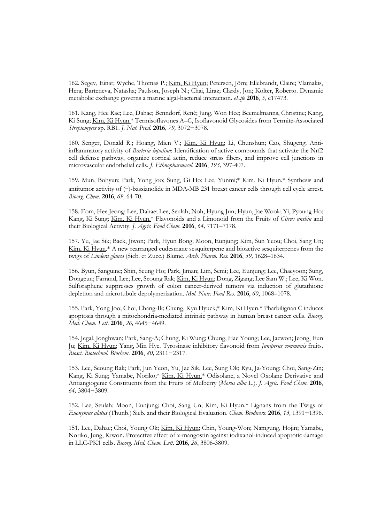162. Segev, Einat; Wyche, Thomas P.; Kim, Ki Hyun; Petersen, Jörn; Ellebrandt, Claire; Vlamakis, Hera; Barteneva, Natasha; Paulson, Joseph N.; Chai, Liraz; Clardy, Jon; Kolter, Roberto. Dynamic metabolic exchange governs a marine algal-bacterial interaction. *eLife* **2016**, *5*, e17473.

161. Kang, Hee Rae; Lee, Dahae; Benndorf, René; Jung, Won Hee; Beemelmanns, Christine; Kang, Ki Sung; Kim, Ki Hyun.\* Termisoflavones A–C, Isoflavonoid Glycosides from Termite-Associated *Streptomyces* sp. RB1. *J. Nat. Prod*. **2016**, *79,* 3072−3078*.*

160. Senger, Donald R.; Hoang, Mien V.; Kim, Ki Hyun; Li, Chunshun; Cao, Shugeng. Antiinflammatory activity of *Barleria lupulina*: Identification of active compounds that activate the Nrf2 cell defense pathway, organize cortical actin, reduce stress fibers, and improve cell junctions in microvascular endothelial cells. *J. Ethnopharmacol.* **2016**, *193,* 397-407.

159. Mun, Bohyun; Park, Yong Joo; Sung, Gi Ho; Lee, Yunmi;\* Kim, Ki Hyun.\* Synthesis and antitumor activity of (‒)-bassianolide in MDA-MB 231 breast cancer cells through cell cycle arrest. *Bioorg. Chem*. **2016**, *69,* 64-70.

158. Eom, Hee Jeong; Lee, Dahae; Lee, Seulah; Noh, Hyung Jun; Hyun, Jae Wook; Yi, Pyoung Ho; Kang, Ki Sung; Kim, Ki Hyun.\* Flavonoids and a Limonoid from the Fruits of *Citrus unshiu* and their Biological Activity. *J. Agric. Food Chem*. **2016**, *64,* 7171–7178.

157. Yu, Jae Sik; Baek, Jiwon; Park, Hyun Bong; Moon, Eunjung; Kim, Sun Yeou; Choi, Sang Un; Kim, Ki Hyun.<sup>\*</sup> A new rearranged eudesmane sesquiterpene and bioactive sesquiterpenes from the twigs of *Lindera glauca* (Sieb. et Zucc.) Blume. *Arch. Pharm. Res.* **2016**, *39,* 1628–1634.

156. Byun, Sanguine; Shin, Seung Ho; Park, Jiman; Lim, Semi; Lee, Eunjung; Lee, Chaeyoon; Sung, Dongeun; Farrand, Lee; Lee, Seoung Rak; Kim, Ki Hyun; Dong, Zigang; Lee Sam W.; Lee, Ki Won. Sulforaphene suppresses growth of colon cancer-derived tumors via induction of glutathione depletion and microtubule depolymerization. *Mol. Nutr. Food Res*. **2016**, *60*, 1068–1078.

155. Park, Yong Joo; Choi, Chang-Ik; Chung, Kyu Hyuck;\* Kim, Ki Hyun.\* Pharbilignan C induces apoptosis through a mitochondria-mediated intrinsic pathway in human breast cancer cells. *Bioorg. Med. Chem. Lett*. **2016**, *26,* 4645−4649.

154. Jegal, Jonghwan; Park, Sang-A; Chung, Ki Wung; Chung, Hae Young; Lee, Jaewon; Jeong, Eun Ju; Kim, Ki Hyun; Yang, Min Hye. Tyrosinase inhibitory flavonoid from *Juniperus communis* fruits. *Biosci. Biotechnol. Biochem*. **2016**, *80,* 2311−2317.

153. Lee, Seoung Rak; Park, Jun Yeon, Yu, Jae Sik, Lee, Sung Ok; Ryu, Ja-Young; Choi, Sang-Zin; Kang, Ki Sung; Yamabe, Noriko;\* Kim, Ki Hyun.\* Odisolane, a Novel Oxolane Derivative and Antiangiogenic Constituents from the Fruits of Mulberry (*Morus alba* L.). *J. Agric. Food Chem*. **2016**, *64,* 3804−3809.

152. Lee, Seulah; Moon, Eunjung; Choi, Sang Un; Kim, Ki Hyun.\* Lignans from the Twigs of *Euonymus alatus* (Thunb.) Sieb. and their Biological Evaluation. *Chem. Biodivers*. **2016**, *13,* 1391−1396.

151. Lee, Dahae; Choi, Young Ok; Kim, Ki Hyun; Chin, Young-Won; Namgung, Hojin; Yamabe, Noriko, Jung, Kiwon. Protective effect of α-mangostin against iodixanol-induced apoptotic damage in LLC-PK1 cells. *Bioorg. Med. Chem. Lett*. **2016**, *26*, 3806-3809.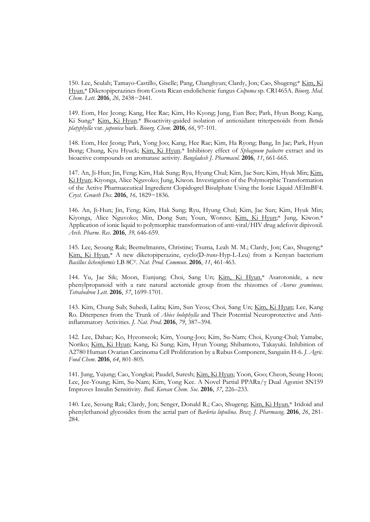150. Lee, Seulah; Tamayo-Castillo, Giselle; Pang, Changhyun; Clardy, Jon; Cao, Shugeng;\* Kim, Ki Hyun.\* Diketopiperazines from Costa Rican endolichenic fungus *Colpoma* sp. CR1465A. *Bioorg. Med. Chem. Lett*. **2016**, *26,* 2438−2441*.*

149. Eom, Hee Jeong; Kang, Hee Rae; Kim, Ho Kyong; Jung, Eun Bee; Park, Hyun Bong; Kang, Ki Sung;\* Kim, Ki Hyun.\* Bioactivity-guided isolation of antioxidant triterpenoids from *Betula platyphylla* var. *japonica* bark. *Bioorg. Chem*. **2016**, *66*, 97-101.

148. Eom, Hee Jeong; Park, Yong Joo; Kang, Hee Rae; Kim, Ha Ryong; Bang, In Jae; Park, Hyun Bong; Chung, Kyu Hyuck; Kim, Ki Hyun.\* Inhibitory effect of *Sphagnum palustre* extract and its bioactive compounds on aromatase activity. *Bangladesh J. Pharmacol.* **2016**, *11*, 661-665.

147. An, Ji-Hun; Jin, Feng; Kim, Hak Sung; Ryu, Hyung Chul; Kim, Jae Sun; Kim, Hyuk Min; Kim, Ki Hyun; Kiyonga, Alice Nguvoko; Jung, Kiwon. Investigation of the Polymorphic Transformation of the Active Pharmaceutical Ingredient Clopidogrel Bisulphate Using the Ionic Liquid AEImBF4. *Cryst. Growth Des*. **2016**, *16,* 1829−1836*.*

146. An, Ji-Hun; Jin, Feng; Kim, Hak Sung; Ryu, Hyung Chul; Kim, Jae Sun; Kim, Hyuk Min; Kiyonga, Alice Nguvoko; Min, Dong Sun; Youn, Wonno; Kim, Ki Hyun;\* Jung, Kiwon.\* Application of ionic liquid to polymorphic transformation of anti-viral/HIV drug adefovir dipivoxil. *Arch. Pharm. Res*. **2016**, *39,* 646-659.

145. Lee, Seoung Rak; Beemelmanns, Christine; Tsuma, Leah M. M.; Clardy, Jon; Cao, Shugeng;\* Kim, Ki Hyun.\* A new diketopiperazine, cyclo(D-*trans*-Hyp-L-Leu) from a Kenyan bacterium *Bacillus licheniformis* LB 8CT. *Nat. Prod. Commun*. **2016**, *11*, 461-463.

144. Yu, Jae Sik; Moon, Eunjung; Choi, Sang Un; Kim, Ki Hyun.\* Asarotonide, a new phenylpropanoid with a rare natural acetonide group from the rhizomes of *Acorus gramineus*. *Tetrahedron Lett.* **2016**, *57*, 1699-1701.

143. Kim, Chung Sub; Subedi, Lalita; Kim, Sun Yeou; Choi, Sang Un; Kim, Ki Hyun; Lee, Kang Ro. Diterpenes from the Trunk of *Abies holophylla* and Their Potential Neuroprotective and Antiinflammatory Activities. *J. Nat. Prod*. **2016**, *79*, 387–394.

142. Lee, Dahae; Ko, Hyeonseok; Kim, Young-Joo; Kim, Su-Nam; Choi, Kyung-Chul; Yamabe, Noriko; Kim, Ki Hyun; Kang, Ki Sung; Kim, Hyun Young; Shibamoto, Takayuki. Inhibition of A2780 Human Ovarian Carcinoma Cell Proliferation by a Rubus Component, Sanguiin H-6. *J. Agric. Food Chem*. **2016**, *64*, 801-805.

141. Jung, Yujung; Cao, Yongkai; Paudel, Suresh; Kim, Ki Hyun; Yoon, Goo; Cheon, Seung Hoon; Lee, Jee-Young; Kim, Su-Nam; Kim, Yong Kee. A Novel Partial PPARα/γ Dual Agonist SN159 Improves Insulin Sensitivity. *Bull. Korean Chem. Soc*. **2016**, *37*, 226–233.

140. Lee, Seoung Rak; Clardy, Jon; Senger, Donald R.; Cao, Shugeng; Kim, Ki Hyun.\* Iridoid and phenylethanoid glycosides from the aerial part of *Barleria lupulina*. *Braz. J. Pharmacog.* **2016**, *26*, 281- 284.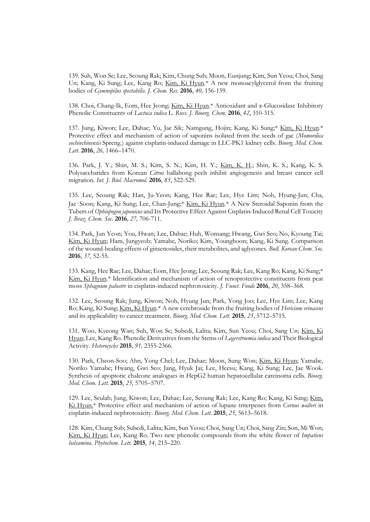139. Suh, Won Se; Lee, Seoung Rak; Kim, Chung Sub; Moon, Eunjung; Kim, Sun Yeou; Choi, Sang Un; Kang, Ki Sung; Lee, Kang Ro; Kim, Ki Hyun.\* A new monoacylglycerol from the fruiting bodies of *Gymnopilus spectabilis*. *J. Chem. Res*. **2016**, *40,* 156-159.

138. Choi, Chang-Ik, Eom, Hee Jeong; Kim, Ki Hyun.\* Antioxidant and α-Glucosidase Inhibitory Phenolic Constituents of *Lactuca indica* L. *Russ. J. Bioorg. Chem*. **2016**, *42*, 310-315.

137. Jung, Kiwon; Lee, Dahae; Yu, Jae Sik; Namgung, Hojin; Kang, Ki Sung;\* Kim, Ki Hyun.\* Protective effect and mechanism of action of saponins isolated from the seeds of gac (*Momordica cochinchinensis* Spreng.) against cisplatin-induced damage in LLC-PK1 kidney cells. *Bioorg. Med. Chem. Lett*. **2016**, *26,* 1466–1470.

136. Park, J. Y.; Shin, M. S.; Kim, S. N.; Kim, H. Y.; Kim, K. H.; Shin, K. S.; Kang, K. S. Polysaccharides from Korean *Citrus* hallabong peels inhibit angiogenesis and breast cancer cell migration. *Int. J. Biol. Macromol*. **2016**, *85*, 522-529.

135. Lee, Seoung Rak; Han, Ju-Yeon; Kang, Hee Rae; Lee, Hye Lim; Noh, Hyung-Jun; Cha, Jae‑Soon; Kang, Ki Sung; Lee, Chan-Jung;\* Kim, Ki Hyun.\* A New Steroidal Saponin from the Tubers of *Ophiopogon japonicus* and Its Protective Effect Against Cisplatin-Induced Renal Cell Toxicity *J. Braz. Chem. Soc*. **2016**, *27,* 706-711.

134. Park, Jun Yeon; You, Hwan; Lee, Dahae; Huh, Wonsang; Hwang, Gwi Seo; No, Kyoung Tai; Kim, Ki Hyun; Ham, Jungyeob; Yamabe, Noriko; Kim, Younghoon; Kang, Ki Sung. Comparison of the wound-healing effects of ginsenosides, their metabolites, and aglycones. *Bull. Korean Chem. Soc*. **2016**, *37*, 52-55.

133. Kang, Hee Rae; Lee, Dahae; Eom, Hee Jeong; Lee, Seoung Rak; Lee, Kang Ro; Kang, Ki Sung;\* Kim, Ki Hyun.\* Identification and mechanism of action of renoprotective constituents from peat moss *Sphagnum palustre* in cisplatin-induced nephrotoxicity. *J. Funct. Foods* **2016**, *20*, 358–368.

132. Lee, Seoung Rak; Jung, Kiwon; Noh, Hyung Jun; Park, Yong Joo; Lee, Hye Lim; Lee, Kang Ro; Kang, Ki Sung; Kim, Ki Hyun.\* A new cerebroside from the fruiting bodies of *Hericium erinaceus* and its applicability to cancer treatment. *Bioorg. Med. Chem. Lett*. **2015**, *25*, 5712–5715.

131. Woo, Kyeong Wan; Suh, Won Se; Subedi, Lalita; Kim, Sun Yeou; Choi, Sang Un; Kim, Ki Hyun; Lee, Kang Ro. Phenolic Derivatives from the Stems of *Lagerstroemia indica* and Their Biological Activity. *Heterocycles* **2015**, *91,* 2355-2366.

130. Park, Cheon-Soo; Ahn, Yong Chel; Lee, Dahae; Moon, Sung Won; Kim, Ki Hyun; Yamabe, Noriko Yamabe; Hwang, Gwi Seo; Jang, Hyuk Jai; Lee, Heesu; Kang, Ki Sung; Lee, Jae Wook. Synthesis of apoptotic chalcone analogues in HepG2 human hepatocellular carcinoma cells. *Bioorg. Med. Chem. Lett*. **2015**, *25*, 5705–5707.

129. Lee, Seulah; Jung, Kiwon; Lee, Dahae; Lee, Seoung Rak; Lee, Kang Ro; Kang, Ki Sung; Kim, Ki Hyun.\* Protective effect and mechanism of action of lupane triterpenes from *Cornus walteri* in cisplatin-induced nephrotoxicity. *Bioorg. Med. Chem. Lett*. **2015**, *25*, 5613–5618.

128. Kim, Chung Sub; Subedi, Lalita; Kim, Sun Yeou; Choi, Sang Un; Choi, Sang Zin; Son, Mi Won; Kim, Ki Hyun; Lee, Kang Ro. Two new phenolic compounds from the white flower of *Impatiens balsamina*. *Phytochem. Lett*. **2015**, *14*, 215–220.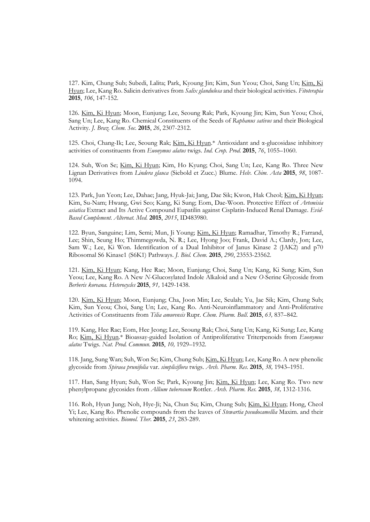127. Kim, Chung Sub; Subedi, Lalita; Park, Kyoung Jin; Kim, Sun Yeou; Choi, Sang Un; Kim, Ki Hyun; Lee, Kang Ro. Salicin derivatives from *Salix glandulosa* and their biological activities. *Fitoterapia* **2015**, *106*, 147-152.

126. Kim, Ki Hyun; Moon, Eunjung; Lee, Seoung Rak; Park, Kyoung Jin; Kim, Sun Yeou; Choi, Sang Un; Lee, Kang Ro. Chemical Constituents of the Seeds of *Raphanus sativus* and their Biological Activity. *J. Braz. Chem. Soc*. **2015**, *26*, 2307-2312.

125. Choi, Chang-Ik; Lee, Seoung Rak; Kim, Ki Hyun.\* Antioxidant and α-glucosidase inhibitory activities of constituents from *Euonymus alatus* twigs. *Ind. Crop. Prod*. **2015**, *76*, 1055–1060.

124. Suh, Won Se; Kim, Ki Hyun; Kim, Ho Kyung; Choi, Sang Un; Lee, Kang Ro. Three New Lignan Derivatives from *Lindera glauca* (Siebold et Zucc.) Blume. *Helv. Chim. Acta* **2015**, *98*, 1087- 1094.

123. Park, Jun Yeon; Lee, Dahae; Jang, Hyuk-Jai; Jang, Dae Sik; Kwon, Hak Cheol; Kim, Ki Hyun; Kim, Su-Nam; Hwang, Gwi Seo; Kang, Ki Sung; Eom, Dae-Woon. Protective Effect of *Artemisia asiatica* Extract and Its Active Compound Eupatilin against Cisplatin-Induced Renal Damage. *Evid- Based Complement. Alternat. Med.* **2015**, *2015*, ID483980.

122. Byun, Sanguine; Lim, Semi; Mun, Ji Young; Kim, Ki Hyun; Ramadhar, Timothy R.; Farrand, Lee; Shin, Seung Ho; Thimmegowda, N. R.; Lee, Hyong Joo; Frank, David A.; Clardy, Jon; Lee, Sam W.; Lee, Ki Won. Identification of a Dual Inhibitor of Janus Kinase 2 (JAK2) and p70 Ribosomal S6 Kinase1 (S6K1) Pathways. *J. Biol. Chem.* **2015**, *290*, 23553-23562.

121. Kim, Ki Hyun; Kang, Hee Rae; Moon, Eunjung; Choi, Sang Un; Kang, Ki Sung; Kim, Sun Yeou; Lee, Kang Ro. A New *N*-Glucosylated Indole Alkaloid and a New *O*-Serine Glycoside from *Berberis koreana. Heterocycles* **2015**, *91,* 1429-1438.

120. Kim, Ki Hyun; Moon, Eunjung; Cha, Joon Min; Lee, Seulah; Yu, Jae Sik; Kim, Chung Sub; Kim, Sun Yeou; Choi, Sang Un; Lee, Kang Ro. Anti-Neuroinflammatory and Anti-Proliferative Activities of Constituents from *Tilia amurensis* Rupr. *Chem. Pharm. Bull*. **2015**, *63,* 837–842.

119. Kang, Hee Rae; Eom, Hee Jeong; Lee, Seoung Rak; Choi, Sang Un; Kang, Ki Sung; Lee, Kang Ro; Kim, Ki Hyun.\* Bioassay-guided Isolation of Antiproliferative Triterpenoids from *Euonymus alatus* Twigs. *Nat. Prod. Commun*. **2015**, *10,* 1929–1932.

118. Jang, Sung Wan; Suh, Won Se; Kim, Chung Sub; Kim, Ki Hyun; Lee, Kang Ro. A new phenolic glycoside from *Spiraea prunifolia* var. *simpliciflora* twigs. *Arch. Pharm. Res.* **2015**, *38,* 1943–1951*.*

117. Han, Sang Hyun; Suh, Won Se; Park, Kyoung Jin; Kim, Ki Hyun; Lee, Kang Ro. Two new phenylpropane glycosides from *Allium tuberosum* Rottler. *Arch. Pharm. Res.* **2015**, *38,* 1312-1316.

116. Roh, Hyun Jung; Noh, Hye-Ji; Na, Chun Su; Kim, Chung Sub; Kim, Ki Hyun; Hong, Cheol Yi; Lee, Kang Ro. Phenolic compounds from the leaves of *Stewartia pseudocamellia* Maxim. and their whitening activities. *Biomol. Ther*. **2015**, *23*, 283-289.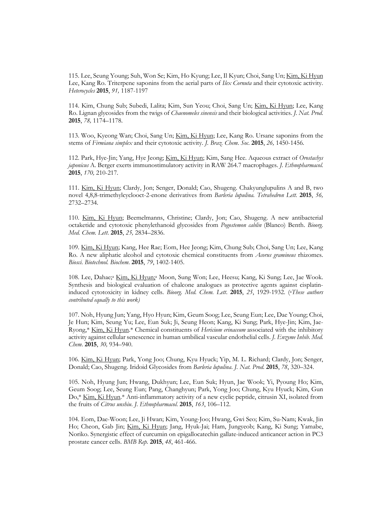115. Lee, Seung Young; Suh, Won Se; Kim, Ho Kyung; Lee, Il Kyun; Choi, Sang Un; Kim, Ki Hyun Lee, Kang Ro. Triterpene saponins from the aerial parts of *Ilex Cornuta* and their cytotoxic activity. *Heterocycles* **2015**, *91,* 1187-1197

114. Kim, Chung Sub; Subedi, Lalita; Kim, Sun Yeou; Choi, Sang Un; Kim, Ki Hyun; Lee, Kang Ro. Lignan glycosides from the twigs of *Chaenomeles sinensis* and their biological activities. *J. Nat. Prod*. **2015**, *78,* 1174–1178.

113. Woo, Kyeong Wan; Choi, Sang Un; Kim, Ki Hyun; Lee, Kang Ro. Ursane saponins from the stems of *Firmiana simplex* and their cytotoxic activity. *J. Braz. Chem. Soc*. **2015**, *26,* 1450-1456*.* 

112. Park, Hye-Jin; Yang, Hye Jeong; Kim, Ki Hyun; Kim, Sang Hee. Aqueous extract of *Orostachys japonicus* A. Berger exerts immunostimulatory activity in RAW 264.7 macrophages. *J. Ethnopharmacol.*  **2015**, *170,* 210-217*.*

111. Kim, Ki Hyun; Clardy, Jon; Senger, Donald; Cao, Shugeng. Chakyunglupulins A and B, two novel 4,8,8-trimethylcyclooct-2-enone derivatives from *Barleria lupulina. Tetrahedron Lett.* **2015**, *56,* 2732–2734.

110. Kim, Ki Hyun; Beemelmanns, Christine; Clardy, Jon; Cao, Shugeng. A new antibacterial octaketide and cytotoxic phenylethanoid glycosides from *Pogostemon cablin* (Blanco) Benth. *Bioorg. Med. Chem. Lett*. **2015**, *25,* 2834–2836.

109. Kim, Ki Hyun; Kang, Hee Rae; Eom, Hee Jeong; Kim, Chung Sub; Choi, Sang Un; Lee, Kang Ro. A new aliphatic alcohol and cytotoxic chemical constituents from *Acorus gramineus* rhizomes. *Biosci. Biotechnol. Biochem*. **2015**, *79*, 1402-1405.

108. Lee, Dahae;<sup>a</sup> Kim, Ki Hyun;<sup>a</sup> Moon, Sung Won; Lee, Heesu; Kang, Ki Sung; Lee, Jae Wook. Synthesis and biological evaluation of chalcone analogues as protective agents against cisplatininduced cytotoxicity in kidney cells. *Bioorg. Med. Chem. Lett*. **2015**, *25*, 1929-1932. ( <sup>a</sup>*These authors contributed equally to this work)*

107. Noh, Hyung Jun; Yang, Hyo Hyun; Kim, Geum Soog; Lee, Seung Eun; Lee, Dae Young; Choi, Je Hun; Kim, Seung Yu; Lee, Eun Suk; Ji, Seung Heon; Kang, Ki Sung; Park, Hye-Jin; Kim, Jae- Ryong,\* Kim, Ki Hyun.\* Chemical constituents of *Hericium erinaceum* associated with the inhibitory activity against cellular senescence in human umbilical vascular endothelial cells. *J. Enzyme Inhib. Med. Chem*. **2015**, *30,* 934–940.

106. Kim, Ki Hyun; Park, Yong Joo; Chung, Kyu Hyuck; Yip, M. L. Richard; Clardy, Jon; Senger, Donald; Cao, Shugeng. Iridoid Glycosides from *Barleria lupulina*. *J. Nat. Prod*. **2015**, *78*, 320–324.

105. Noh, Hyung Jun; Hwang, Dukhyun; Lee, Eun Suk; Hyun, Jae Wook; Yi, Pyoung Ho; Kim, Geum Soog; Lee, Seung Eun; Pang, Changhyun; Park, Yong Joo; Chung, Kyu Hyuck; Kim, Gun Do,\* Kim, Ki Hyun.\* Anti-inflammatory activity of a new cyclic peptide, citrusin XI, isolated from the fruits of *Citrus unshiu*. *J. Ethnopharmacol.* **2015**, *163*, 106–112.

104. Eom, Dae-Woon; Lee, Ji Hwan; Kim, Young-Joo; Hwang, Gwi Seo; Kim, Su-Nam; Kwak, Jin Ho; Cheon, Gab Jin; Kim, Ki Hyun; Jang, Hyuk-Jai; Ham, Jungyeob; Kang, Ki Sung; Yamabe, Noriko. Synergistic effect of curcumin on epigallocatechin gallate-induced anticancer action in PC3 prostate cancer cells. *BMB Rep.* **2015**, *48*, 461-466.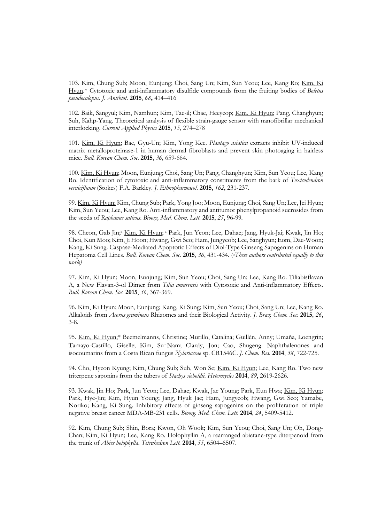103. Kim, Chung Sub; Moon, Eunjung; Choi, Sang Un; Kim, Sun Yeou; Lee, Kang Ro; Kim, Ki Hyun.\* Cytotoxic and anti-inflammatory disulfide compounds from the fruiting bodies of *Boletus pseudocalopus*. *J. Antibiot*. **2015**, *68***,** 414–416

102. Baik, Sangyul; Kim, Namhun; Kim, Tae-il; Chae, Heeyeop; Kim, Ki Hyun; Pang, Changhyun; Suh, Kahp-Yang. Theoretical analysis of flexible strain-gauge sensor with nanofibrillar mechanical interlocking. *Current Applied Physics* **2015**, *15*, 274–278

101. Kim, Ki Hyun; Bae, Gyu-Un; Kim, Yong Kee. *Plantago asiatica* extracts inhibit UV-induced matrix metalloproteinase-1 in human dermal fibroblasts and prevent skin photoaging in hairless mice. *Bull. Korean Chem. Soc*. **2015**, *36*, 659-664.

100. Kim, Ki Hyun; Moon, Eunjung; Choi, Sang Un; Pang, Changhyun; Kim, Sun Yeou; Lee, Kang Ro. Identification of cytotoxic and anti-inflammatory constituents from the bark of *Toxicodendron vernicifluum* (Stokes) F.A. Barkley. *J. Ethnopharmacol.* **2015**, *162*, 231-237.

99. Kim, Ki Hyun; Kim, Chung Sub; Park, Yong Joo; Moon, Eunjung; Choi, Sang Un; Lee, Jei Hyun; Kim, Sun Yeou; Lee, Kang Ro. Anti-inflammatory and antitumor phenylpropanoid sucrosides from the seeds of *Raphanus sativus*. *Bioorg. Med. Chem. Lett*. **2015**, *25*, 96-99*.*

98. Cheon, Gab Jin;<sup>a</sup> Kim, Ki Hyun; <sup>a</sup> Park, Jun Yeon; Lee, Dahae; Jang, Hyuk-Jai; Kwak, Jin Ho; Choi, Kun Moo; Kim, Ji Hoon; Hwang, Gwi Seo; Ham, Jungyeob; Lee, Sanghyun; Eom, Dae-Woon; Kang, Ki Sung. Caspase-Mediated Apoptotic Effects of Diol-Type Ginseng Sapogenins on Human Hepatoma Cell Lines. *Bull. Korean Chem. Soc*. **2015**, *36*, 431-434*.* ( <sup>a</sup>*These authors contributed equally to this work)*

97. Kim, Ki Hyun; Moon, Eunjung; Kim, Sun Yeou; Choi, Sang Un; Lee, Kang Ro. Tiliabisflavan A, a New Flavan-3-ol Dimer from *Tilia amurensis* with Cytotoxic and Anti-inflammatory Effects. *Bull. Korean Chem. Soc*. **2015**, *36*, 367-369.

96. Kim, Ki Hyun; Moon, Eunjung; Kang, Ki Sung; Kim, Sun Yeou; Choi, Sang Un; Lee, Kang Ro. Alkaloids from *Acorus gramineus* Rhizomes and their Biological Activity. *J. Braz. Chem. Soc*. **2015**, *26*, 3-8*.*

95. Kim, Ki Hyun;\* Beemelmanns, Christine; Murillo, Catalina; Guillén, Anny; Umaña, Loengrin; Tamayo-Castillo, Giselle; Kim, Su‑Nam; Clardy, Jon; Cao, Shugeng. Naphthalenones and isocoumarins from a Costa Rican fungus *Xylariaceae* sp. CR1546C. *J. Chem. Res.* **2014**, *38*, 722-725.

94. Cho, Hyeon Kyung; Kim, Chung Sub; Suh, Won Se; Kim, Ki Hyun; Lee, Kang Ro. Two new triterpene saponins from the tubers of *Stachys sieboldii*. *Heterocycles* **2014**, *89*, 2619-2626.

93. Kwak, Jin Ho; Park, Jun Yeon; Lee, Dahae; Kwak, Jae Young; Park, Eun Hwa; Kim, Ki Hyun; Park, Hye-Jin; Kim, Hyun Young; Jang, Hyuk Jae; Ham, Jungyeob; Hwang, Gwi Seo; Yamabe, Noriko; Kang, Ki Sung. Inhibitory effects of ginseng sapogenins on the proliferation of triple negative breast cancer MDA-MB-231 cells. *Bioorg. Med. Chem. Lett*. **2014**, *24*, 5409-5412.

92. Kim, Chung Sub; Shin, Bora; Kwon, Oh Wook; Kim, Sun Yeou; Choi, Sang Un; Oh, Dong- Chan; Kim, Ki Hyun; Lee, Kang Ro. Holophyllin A, a rearranged abietane-type diterpenoid from the trunk of *Abies holophylla*. *Tetrahedron Lett.* **2014**, *55*, 6504–6507.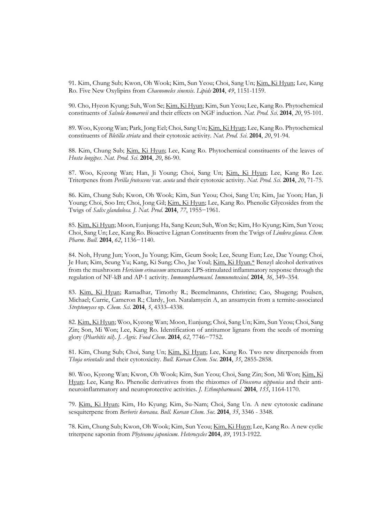91. Kim, Chung Sub; Kwon, Oh Wook; Kim, Sun Yeou; Choi, Sang Un; Kim, Ki Hyun; Lee, Kang Ro. Five New Oxylipins from *Chaenomeles sinensis*. *Lipids* **2014**, *49*, 1151-1159.

90. Cho, Hyeon Kyung; Suh, Won Se; Kim, Ki Hyun; Kim, Sun Yeou; Lee, Kang Ro. Phytochemical constituents of *Salsola komarovii* and their effects on NGF induction. *Nat. Prod. Sci*. **2014**, *20*, 95-101.

89. Woo, Kyeong Wan; Park, Jong Eel; Choi, Sang Un; Kim, Ki Hyun; Lee, Kang Ro. Phytochemical constituents of *Bletilla striata* and their cytotoxic activity. *Nat. Prod. Sci*. **2014**, *20*, 91-94.

88. Kim, Chung Sub; Kim, Ki Hyun; Lee, Kang Ro. Phytochemical constituents of the leaves of *Hosta longipes*. *Nat. Prod. Sci*. **2014**, *20*, 86-90.

87. Woo, Kyeong Wan; Han, Ji Young; Choi, Sang Un; Kim, Ki Hyun; Lee, Kang Ro Lee. Triterpenes from *Perilla frutescens* var. *acuta* and their cytotoxic activity. *Nat. Prod. Sci*. **2014**, *20*, 71-75.

86. Kim, Chung Sub; Kwon, Oh Wook; Kim, Sun Yeou; Choi, Sang Un; Kim, Jae Yoon; Han, Ji Young; Choi, Soo Im; Choi, Jong Gil; Kim, Ki Hyun; Lee, Kang Ro. Phenolic Glycosides from the Twigs of *Salix glandulosa. J. Nat. Prod*. **2014**, *77*, 1955−1961.

85. Kim, Ki Hyun; Moon, Eunjung; Ha, Sang Keun; Suh, Won Se; Kim, Ho Kyung; Kim, Sun Yeou; Choi, Sang Un; Lee, Kang Ro. Bioactive Lignan Constituents from the Twigs of *Lindera glauca*. *Chem. Pharm. Bull*. **2014**, *62*, 1136−1140.

84. Noh, Hyung Jun; Yoon, Ju Young; Kim, Geum Sook; Lee, Seung Eun; Lee, Dae Young; Choi, Je Hun; Kim, Seung Yu; Kang, Ki Sung; Cho, Jae Youl; Kim, Ki Hyun.\* Benzyl alcohol derivatives from the mushroom *Hericium erinaceum* attenuate LPS-stimulated inflammatory response through the regulation of NF-kB and AP-1 activity. *Immunopharmacol. Immunotoxicol*. **2014**, *36*, 349–354.

83. Kim, Ki Hyun; Ramadhar, Timothy R.; Beemelmanns, Christine; Cao, Shugeng; Poulsen, Michael; Currie, Cameron R.; Clardy, Jon. Natalamycin A, an ansamycin from a termite-associated *Streptomyces* sp. *Chem. Sci*. **2014**, *5*, 4333–4338.

82. Kim, Ki Hyun; Woo, Kyeong Wan; Moon, Eunjung; Choi, Sang Un; Kim, Sun Yeou; Choi, Sang Zin; Son, Mi Won; Lee, Kang Ro. Identification of antitumor lignans from the seeds of morning glory (*Pharbitis nil*). *J. Agric. Food Chem*. **2014**, *62*, 7746−7752.

81. Kim, Chung Sub; Choi, Sang Un; Kim, Ki Hyun; Lee, Kang Ro. Two new diterpenoids from *Thuja orientalis* and their cytotoxicity. *Bull. Korean Chem. Soc*. **2014**, *35*, 2855-2858.

80. Woo, Kyeong Wan; Kwon, Oh Wook; Kim, Sun Yeou; Choi, Sang Zin; Son, Mi Won; Kim, Ki Hyun; Lee, Kang Ro. Phenolic derivatives from the rhizomes of *Dioscorea nipponica* and their anti neuroinflammatory and neuroprotective activities. *J. Ethnopharmacol.* **2014**, *155*, 1164-1170.

79. Kim, Ki Hyun; Kim, Ho Kyung; Kim, Su-Nam; Choi, Sang Un. A new cytotoxic cadinane sesquiterpene from *Berberis koreana*. *Bull. Korean Chem. Soc*. **2014**, *35*, 3346 - 3348.

78. Kim, Chung Sub; Kwon, Oh Wook; Kim, Sun Yeou; Kim, Ki Huyn; Lee, Kang Ro. A new cyclic triterpene saponin from *Phyteuma japonicum*. *Heterocycles* **2014**, *89*, 1913-1922.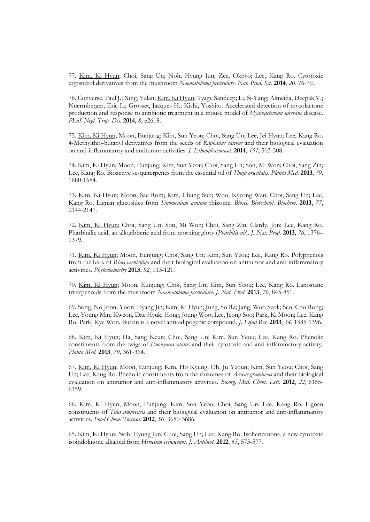77. Kim, Ki Hyun; Choi, Sang Un; Noh, Hyung Jun; Zee, Okpyo; Lee, Kang Ro. Cytotoxic ergosterol derivatives from the mushroom *Naematoloma fasciculare*. *Nat. Prod. Sci*. **2014**, *20*, 76-79.

76. Converse, Paul J.; Xing, Yalan; Kim, Ki Hyun; Tyagi, Sandeep; Li, Si-Yang; Almeida, Deepak V.; Nuermberger, Eric L.; Grosset, Jacques H.; Kishi, Yoshito. Accelerated detection of mycolactone production and response to antibiotic treatment in a mouse model of *Mycobacterium ulcerans* disease. *PLoS Negl. Trop. Dis*. **2014**, *8*, e2618.

75. Kim, Ki Hyun; Moon, Eunjung; Kim, Sun Yeou; Choi, Sang Un; Lee, Jei Hyun; Lee, Kang Ro. 4-Methylthio-butanyl derivatives from the seeds of *Raphanus sativus* and their biological evaluation on anti-inflammatory and antitumor activities. *J. Ethnopharmacol.* **2014**, *151*, 503-508.

74. Kim, Ki Hyun; Moon, Eunjung; Kim, Sun Yeou; Choi, Sang Un; Son, Mi Won; Choi, Sang Zin; Lee, Kang Ro. Bioactive sesquiterpenes from the essential oil of *Thuja orientalis*. *Planta Med.* **2013**, *79,*  1680-1684*.*

73. Kim, Ki Hyun; Moon, Sae Rom; Kim, Chung Sub; Woo, Kyeong Wan; Choi, Sang Un; Lee, Kang Ro. Lignan glucosides from *Sinomenium acutum* rhizome. *Biosci. Biotechnol. Biochem*. **2013**, *77*, 2144-2147*.*

72. Kim, Ki Hyun; Choi, Sang Un; Son, Mi Won; Choi, Sang Zin; Clardy, Jon; Lee, Kang Ro. Pharbinilic acid, an allogibberic acid from morning glory (*Pharbitis nil*). *J. Nat. Prod*. **2013**, *76*, 1376– 1379*.*

71. Kim, Ki Hyun; Moon, Eunjung; Choi, Sang Un; Kim, Sun Yeou; Lee, Kang Ro. Polyphenols from the bark of *Rhus verniciflua* and their biological evaluation on antitumor and anti-inflammatory activities. *Phytochemistry* **2013**, *92*, 113-121.

70. Kim, Ki Hyun; Moon, Eunjung; Choi, Sang Un; Kim, Sun Yeou; Lee, Kang Ro. Lanostane triterpenoids from the mushroom *Naematoloma fasciculare*. *J. Nat. Prod*. **2013**, *76*, 845-851.

69. Song, No Joon; Yoon, Hyang Jin; Kim, Ki Hyun; Jung, So Ra; Jang, Woo Seok; Seo, Cho Rong; Lee, Young Min; Kweon, Dae Hyuk; Hong, Joung Woo; Lee, Jeong Soo; Park, Ki Moon; Lee, Kang Ro; Park, Kye Won. Butein is a novel anti-adipogenic compound. *J. Lipid Res*. **2013**, *54*, 1385-1396.

68. Kim, Ki Hyun; Ha, Sang Keun; Choi, Sang Un; Kim, Sun Yeou; Lee, Kang Ro. Phenolic constituents from the twigs of *Euonymus alatus* and their cytotoxic and anti-inflammatory activity. *Planta Med.* **2013**, *79,* 361-364.

67. Kim, Ki Hyun; Moon, Eunjung; Kim, Ho Kyung; Oh, Ju Yeoun; Kim, Sun Yeou; Choi, Sang Un; Lee, Kang Ro. Phenolic constituents from the rhizomes of *Acorus gramineus* and their biological evaluation on antitumor and anti-inflammatory activities. *Bioorg. Med. Chem. Lett*. **2012**, *22*, 6155- 6159*.*

66. Kim, Ki Hyun; Moon, Eunjung; Kim, Sun Yeou; Choi, Sang Un; Lee, Kang Ro. Lignan constituents of *Tilia amurensis* and their biological evaluation on antitumor and anti-inflammatory activities. *Food Chem. Toxicol*. **2012**, *50*, 3680-3686*.*

65. Kim, Ki Hyun; Noh, Hyung Jun; Choi, Sang Un; Lee, Kang Ro. Isohericenone, a new cytotoxic isoindolinone alkaloid from *Hericium erinaceum*. *J. Antibiot*. **2012**, *65*, 575-577*.*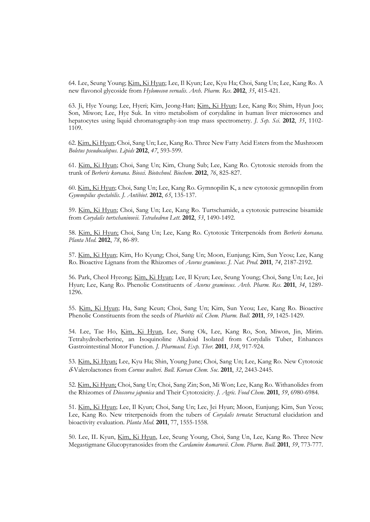64. Lee, Seung Young; Kim, Ki Hyun; Lee, Il Kyun; Lee, Kyu Ha; Choi, Sang Un; Lee, Kang Ro. A new flavonol glycoside from *Hylomecon vernalis*. *Arch. Pharm. Res*. **2012**, *35*, 415-421.

63. Ji, Hye Young; Lee, Hyeri; Kim, Jeong-Han; Kim, Ki Hyun; Lee, Kang Ro; Shim, Hyun Joo; Son, Miwon; Lee, Hye Suk. In vitro metabolism of corydaline in human liver microsomes and hepatocytes using liquid chromatography-ion trap mass spectrometry. *J. Sep. Sci*. **2012**, *35*, 1102- 1109.

62. Kim, Ki Hyun; Choi, Sang Un; Lee, Kang Ro. Three New Fatty Acid Esters from the Mushroom *Boletus pseudocalopus*. *Lipids* **2012**, *47*, 593-599.

61. Kim, Ki Hyun; Choi, Sang Un; Kim, Chung Sub; Lee, Kang Ro. Cytotoxic steroids from the trunk of *Berberis koreana*. *Biosci. Biotechnol. Biochem*. **2012**, *76*, 825-827.

60. Kim, Ki Hyun; Choi, Sang Un; Lee, Kang Ro. Gymnopilin K, a new cytotoxic gymnopilin from *Gymnopilus spectabilis*. *J. Antibiot*. **2012**, *65*, 135-137.

59. Kim, Ki Hyun; Choi, Sang Un; Lee, Kang Ro. Turtschamide, a cytotoxic putrescine bisamide from *Corydalis turtschaninovii*. *Tetrahedron Lett*. **2012**, *53*, 1490-1492.

58. Kim, Ki Hyun; Choi, Sang Un; Lee, Kang Ro. Cytotoxic Triterpenoids from *Berberis koreana*. *Planta Med.* **2012**, *78*, 86-89.

57. Kim, Ki Hyun; Kim, Ho Kyung; Choi, Sang Un; Moon, Eunjung; Kim, Sun Yeou; Lee, Kang Ro. Bioactive Lignans from the Rhizomes of *Acorus gramineus*. *J. Nat. Prod*. **2011**, *74*, 2187-2192.

56. Park, Cheol Hyeong; Kim, Ki Hyun; Lee, Il Kyun; Lee, Seung Young; Choi, Sang Un; Lee, Jei Hyun; Lee, Kang Ro. Phenolic Constituents of *Acorus gramineus*. *Arch. Pharm. Res*. **2011**, *34*, 1289- 1296.

55. Kim, Ki Hyun; Ha, Sang Keun; Choi, Sang Un; Kim, Sun Yeou; Lee, Kang Ro. Bioactive Phenolic Constituents from the seeds of *Pharbitis nil*. *Chem. Pharm. Bull*. **2011**, *59*, 1425-1429.

54. Lee, Tae Ho, Kim, Ki Hyun, Lee, Sung Ok, Lee, Kang Ro, Son, Miwon, Jin, Mirim. Tetrahydroberberine, an Isoquinoline Alkaloid Isolated from Corydalis Tuber, Enhances Gastrointestinal Motor Function. *J. Pharmacol. Exp. Ther.* **2011**, *338*, 917-924.

53. Kim, Ki Hyun; Lee, Kyu Ha; Shin, Young June; Choi, Sang Un; Lee, Kang Ro. New Cytotoxic d-Valerolactones from *Cornus walteri*. *Bull. Korean Chem. Soc*. **2011**, *32*, 2443-2445.

52. Kim, Ki Hyun; Choi, Sang Un; Choi, Sang Zin; Son, Mi Won; Lee, Kang Ro. Withanolides from the Rhizomes of *Dioscorea japonica* and Their Cytotoxicity. *J. Agric. Food Chem*. **2011**, *59*, 6980-6984.

51. Kim, Ki Hyun; Lee, Il Kyun; Choi, Sang Un; Lee, Jei Hyun; Moon, Eunjung; Kim, Sun Yeou; Lee, Kang Ro. New triterpenoids from the tubers of *Corydalis ternata*: Structural elucidation and bioactivity evaluation. *Planta Med*. **2011**, 77, 1555-1558.

50. Lee, IL Kyun, Kim, Ki Hyun, Lee, Seung Young, Choi, Sang Un, Lee, Kang Ro. Three New Megastigmane Glucopyranosides from the *Cardamine komarovii*. *Chem. Pharm. Bull*. **2011**, *59*, 773-777.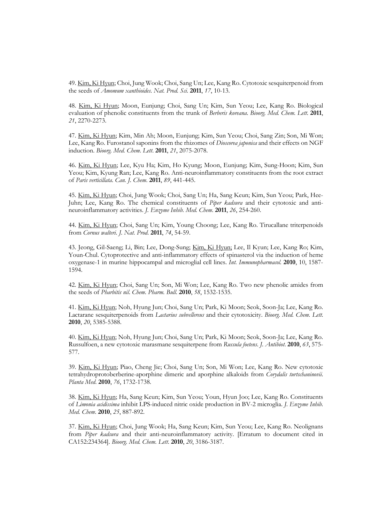49. Kim, Ki Hyun; Choi, Jung Wook; Choi, Sang Un; Lee, Kang Ro. Cytotoxic sesquiterpenoid from the seeds of *Amomum xanthioides*. *Nat. Prod. Sci*. **2011**, *17*, 10-13.

48. Kim, Ki Hyun; Moon, Eunjung; Choi, Sang Un; Kim, Sun Yeou; Lee, Kang Ro. Biological evaluation of phenolic constituents from the trunk of *Berberis koreana*. *Bioorg. Med. Chem. Lett*. **2011**, *21*, 2270-2273.

47. Kim, Ki Hyun; Kim, Min Ah; Moon, Eunjung; Kim, Sun Yeou; Choi, Sang Zin; Son, Mi Won; Lee, Kang Ro. Furostanol saponins from the rhizomes of *Dioscorea japonica* and their effects on NGF induction. *Bioorg. Med. Chem. Lett*. **2011**, *21*, 2075-2078.

46. Kim, Ki Hyun; Lee, Kyu Ha; Kim, Ho Kyung; Moon, Eunjung; Kim, Sung-Hoon; Kim, Sun Yeou; Kim, Kyung Ran; Lee, Kang Ro. Anti-neuroinflammatory constituents from the root extract of *Paris verticillata*. *Can. J. Chem*. **2011**, *89*, 441-445.

45. Kim, Ki Hyun; Choi, Jung Wook; Choi, Sang Un; Ha, Sang Keun; Kim, Sun Yeou; Park, Hee- Juhn; Lee, Kang Ro. The chemical constituents of *Piper kadsura* and their cytotoxic and anti neuroinflammatory activities. *J. Enzyme Inhib. Med. Chem*. **2011**, *26*, 254-260.

44. Kim, Ki Hyun; Choi, Sang Un; Kim, Young Choong; Lee, Kang Ro. Tirucallane triterpenoids from *Cornus walteri*. *J. Nat. Prod*. **2011**, *74*, 54-59.

43. Jeong, Gil-Saeng; Li, Bin; Lee, Dong-Sung; Kim, Ki Hyun; Lee, Il Kyun; Lee, Kang Ro; Kim, Youn-Chul. Cytoprotective and anti-inflammatory effects of spinasterol via the induction of heme oxygenase-1 in murine hippocampal and microglial cell lines. *Int. Immunopharmacol.* **2010**, 10, 1587- 1594.

42. Kim, Ki Hyun; Choi, Sang Un; Son, Mi Won; Lee, Kang Ro. Two new phenolic amides from the seeds of *Pharbitis nil*. *Chem. Pharm. Bull*. **2010**, *58*, 1532-1535.

41. Kim, Ki Hyun; Noh, Hyung Jun; Choi, Sang Un; Park, Ki Moon; Seok, Soon-Ja; Lee, Kang Ro. Lactarane sesquiterpenoids from *Lactarius subvellereus* and their cytotoxicity. *Bioorg. Med. Chem. Lett*. **2010**, *20*, 5385-5388.

40. Kim, Ki Hyun; Noh, Hyung Jun; Choi, Sang Un; Park, Ki Moon; Seok, Soon-Ja; Lee, Kang Ro. Russulfoen, a new cytotoxic marasmane sesquiterpene from *Russula foetens*. *J. Antibiot*. **2010**, *63*, 575- 577.

39. Kim, Ki Hyun; Piao, Cheng Jie; Choi, Sang Un; Son, Mi Won; Lee, Kang Ro. New cytotoxic tetrahydroprotoberberine-aporphine dimeric and aporphine alkaloids from *Corydalis turtschaninovii*. *Planta Med*. **2010**, *76*, 1732-1738.

38. Kim, Ki Hyun; Ha, Sang Keun; Kim, Sun Yeou; Youn, Hyun Joo; Lee, Kang Ro. Constituents of *Limonia acidissima* inhibit LPS-induced nitric oxide production in BV-2 microglia. *J. Enzyme Inhib. Med. Chem*. **2010**, *25*, 887-892.

37. Kim, Ki Hyun; Choi, Jung Wook; Ha, Sang Keun; Kim, Sun Yeou; Lee, Kang Ro. Neolignans from *Piper kadsura* and their anti-neuroinflammatory activity. [Erratum to document cited in CA152:234364]. *Bioorg. Med. Chem. Lett*. **2010**, *20*, 3186-3187.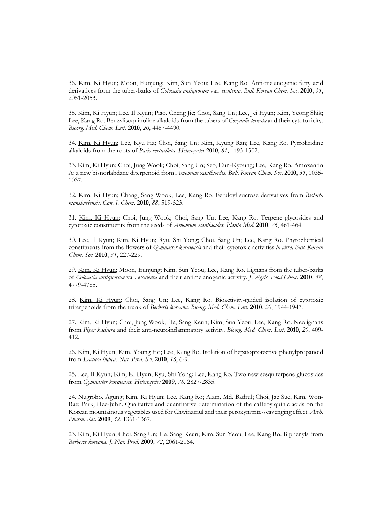36. Kim, Ki Hyun; Moon, Eunjung; Kim, Sun Yeou; Lee, Kang Ro. Anti-melanogenic fatty acid derivatives from the tuber-barks of *Colocasia antiquorum* var. *esculenta*. *Bull. Korean Chem. Soc*. **2010**, *31*, 2051-2053.

35. Kim, Ki Hyun; Lee, Il Kyun; Piao, Cheng Jie; Choi, Sang Un; Lee, Jei Hyun; Kim, Yeong Shik; Lee, Kang Ro. Benzylisoquinoline alkaloids from the tubers of *Corydalis ternata* and their cytotoxicity. *Bioorg. Med. Chem. Lett*. **2010**, *20*, 4487-4490.

34. Kim, Ki Hyun; Lee, Kyu Ha; Choi, Sang Un; Kim, Kyung Ran; Lee, Kang Ro. Pyrrolizidine alkaloids from the roots of *Paris verticillata*. *Heterocycles* **2010**, *81*, 1493-1502.

33. Kim, Ki Hyun; Choi, Jung Wook; Choi, Sang Un; Seo, Eun-Kyoung; Lee, Kang Ro. Amoxantin A: a new bisnorlabdane diterpenoid from *Amomum xanthioides*. *Bull. Korean Chem. Soc*. **2010**, *31*, 1035- 1037.

32. Kim, Ki Hyun; Chang, Sang Wook; Lee, Kang Ro. Feruloyl sucrose derivatives from *Bistorta manshuriensis*. *Can. J. Chem*. **2010**, *88*, 519-523.

31. Kim, Ki Hyun; Choi, Jung Wook; Choi, Sang Un; Lee, Kang Ro. Terpene glycosides and cytotoxic constituents from the seeds of *Amomum xanthioides*. *Planta Med*. **2010**, *76*, 461-464.

30. Lee, Il Kyun; Kim, Ki Hyun; Ryu, Shi Yong; Choi, Sang Un; Lee, Kang Ro. Phytochemical constituents from the flowers of *Gymnaster koraiensis* and their cytotoxic activities *in vitro*. *Bull. Korean Chem. Soc*. **2010**, *31*, 227-229.

29. Kim, Ki Hyun; Moon, Eunjung; Kim, Sun Yeou; Lee, Kang Ro. Lignans from the tuber-barks of *Colocasia antiquorum* var. *esculenta* and their antimelanogenic activity. *J. Agric. Food Chem*. **2010**, *58*, 4779-4785.

28. Kim, Ki Hyun; Choi, Sang Un; Lee, Kang Ro. Bioactivity-guided isolation of cytotoxic triterpenoids from the trunk of *Berberis koreana*. *Bioorg. Med. Chem. Lett*. **2010**, *20*, 1944-1947.

27. Kim, Ki Hyun; Choi, Jung Wook; Ha, Sang Keun; Kim, Sun Yeou; Lee, Kang Ro. Neolignans from *Piper kadsura* and their anti-neuroinflammatory activity. *Bioorg. Med. Chem. Lett*. **2010**, *20*, 409- 412.

26. Kim, Ki Hyun; Kim, Young Ho; Lee, Kang Ro. Isolation of hepatoprotective phenylpropanoid from *Lactuca indica*. *Nat. Prod. Sci*. **2010**, *16*, 6-9.

25. Lee, Il Kyun; Kim, Ki Hyun; Ryu, Shi Yong; Lee, Kang Ro. Two new sesquiterpene glucosides from *Gymnaster koraiensis*. *Heterocycles* **2009**, *78*, 2827-2835.

24. Nugroho, Agung; Kim, Ki Hyun; Lee, Kang Ro; Alam, Md. Badrul; Choi, Jae Sue; Kim, Won- Bae; Park, Hee-Juhn. Qualitative and quantitative determination of the caffeoylquinic acids on the Korean mountainous vegetables used for Chwinamul and their peroxynitrite-scavenging effect. *Arch. Pharm. Res*. **2009**, *32*, 1361-1367.

23. Kim, Ki Hyun; Choi, Sang Un; Ha, Sang Keun; Kim, Sun Yeou; Lee, Kang Ro. Biphenyls from *Berberis koreana*. *J. Nat. Prod*. **2009**, *72*, 2061-2064.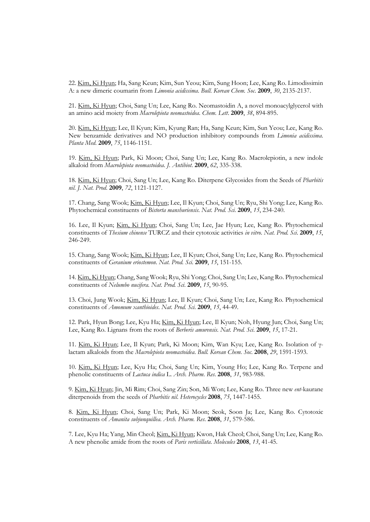22. Kim, Ki Hyun; Ha, Sang Keun; Kim, Sun Yeou; Kim, Sung Hoon; Lee, Kang Ro. Limodissimin A: a new dimeric coumarin from *Limonia acidissima*. *Bull. Korean Chem. Soc*. **2009**, *30*, 2135-2137.

21. Kim, Ki Hyun; Choi, Sang Un; Lee, Kang Ro. Neomastoidin A, a novel monoacylglycerol with an amino acid moiety from *Macrolepiota neomastoidea*. *Chem. Lett*. **2009**, *38*, 894-895.

20. Kim, Ki Hyun; Lee, Il Kyun; Kim, Kyung Ran; Ha, Sang Keun; Kim, Sun Yeou; Lee, Kang Ro. New benzamide derivatives and NO production inhibitory compounds from *Limonia acidissima*. *Planta Med*. **2009**, *75*, 1146-1151.

19. Kim, Ki Hyun; Park, Ki Moon; Choi, Sang Un; Lee, Kang Ro. Macrolepiotin, a new indole alkaloid from *Macrolepiota neomastoidea*. *J. Antibiot*. **2009**, *62*, 335-338.

18. Kim, Ki Hyun; Choi, Sang Un; Lee, Kang Ro. Diterpene Glycosides from the Seeds of *Pharbitis nil*. *J. Nat. Prod*. **2009**, *72*, 1121-1127.

17. Chang, Sang Wook; Kim, Ki Hyun; Lee, Il Kyun; Choi, Sang Un; Ryu, Shi Yong; Lee, Kang Ro. Phytochemical constituents of *Bistorta manshuriensis*. *Nat. Prod. Sci*. **2009**, *15*, 234-240.

16. Lee, Il Kyun; Kim, Ki Hyun; Choi, Sang Un; Lee, Jae Hyun; Lee, Kang Ro. Phytochemical constituents of *Thesium chinense* TURCZ and their cytotoxic activities *in vitro*. *Nat. Prod. Sci*. **2009**, *15*, 246-249.

15. Chang, Sang Wook; Kim, Ki Hyun; Lee, Il Kyun; Choi, Sang Un; Lee, Kang Ro. Phytochemical constituents of *Geranium eriostemon*. *Nat. Prod. Sci*. **2009**, *15*, 151-155.

14. Kim, Ki Hyun; Chang, Sang Wook; Ryu, Shi Yong; Choi, Sang Un; Lee, Kang Ro. Phytochemical constituents of *Nelumbo nucifera*. *Nat. Prod. Sci*. **2009**, *15*, 90-95.

13. Choi, Jung Wook; Kim, Ki Hyun; Lee, Il Kyun; Choi, Sang Un; Lee, Kang Ro. Phytochemical constituents of *Amomum xanthioides*. *Nat. Prod. Sci*. **2009**, *15*, 44-49.

12. Park, Hyun Bong; Lee, Kyu Ha; Kim, Ki Hyun; Lee, Il Kyun; Noh, Hyung Jun; Choi, Sang Un; Lee, Kang Ro. Lignans from the roots of *Berberis amurensis*. *Nat. Prod. Sci*. **2009**, *15*, 17-21.

11. Kim, Ki Hyun; Lee, Il Kyun; Park, Ki Moon; Kim, Wan Kyu; Lee, Kang Ro. Isolation of γlactam alkaloids from the *Macrolepiota neomastoidea*. *Bull. Korean Chem. Soc*. **2008**, *29*, 1591-1593.

10. Kim, Ki Hyun; Lee, Kyu Ha; Choi, Sang Un; Kim, Young Ho; Lee, Kang Ro. Terpene and phenolic constituents of *Lactuca indica* L. *Arch. Pharm. Res*. **2008**, *31*, 983-988.

9. Kim, Ki Hyun; Jin, Mi Rim; Choi, Sang Zin; Son, Mi Won; Lee, Kang Ro. Three new *ent*-kaurane diterpenoids from the seeds of *Pharbitis nil*. *Heterocycles* **2008**, *75*, 1447-1455.

8. Kim, Ki Hyun; Choi, Sang Un; Park, Ki Moon; Seok, Soon Ja; Lee, Kang Ro. Cytotoxic constituents of *Amanita subjunquillea*. *Arch. Pharm. Res*. **2008**, *31*, 579-586.

7. Lee, Kyu Ha; Yang, Min Cheol; Kim, Ki Hyun; Kwon, Hak Cheol; Choi, Sang Un; Lee, Kang Ro. A new phenolic amide from the roots of *Paris verticillata*. *Molecules* **2008**, *13*, 41-45.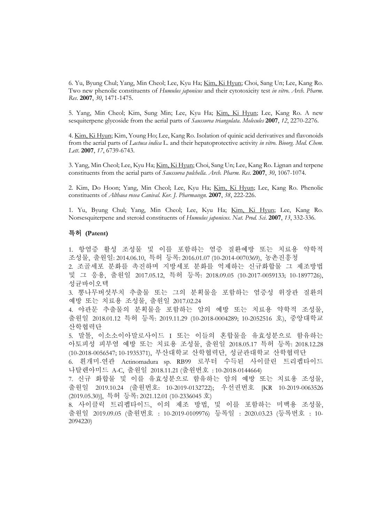6. Yu, Byung Chul; Yang, Min Cheol; Lee, Kyu Ha; Kim, Ki Hyun; Choi, Sang Un; Lee, Kang Ro. Two new phenolic constituents of *Humulus japonicus* and their cytotoxicity test *in vitro*. *Arch. Pharm. Res*. **2007**, *30*, 1471-1475.

5. Yang, Min Cheol; Kim, Sung Min; Lee, Kyu Ha; Kim, Ki Hyun; Lee, Kang Ro. A new sesquiterpene glycoside from the aerial parts of *Saussurea triangulata*. *Molecules* **2007**, *12*, 2270-2276.

4. Kim, Ki Hyun; Kim, Young Ho; Lee, Kang Ro. Isolation of quinic acid derivatives and flavonoids from the aerial parts of *Lactuca indica* L. and their hepatoprotective activity *in vitro*. *Bioorg. Med. Chem. Lett*. **2007**, *17*, 6739-6743.

3. Yang, Min Cheol; Lee, Kyu Ha; Kim, Ki Hyun; Choi, Sang Un; Lee, Kang Ro. Lignan and terpene constituents from the aerial parts of *Saussurea pulchella*. *Arch. Pharm. Res*. **2007**, *30*, 1067-1074.

2. Kim, Do Hoon; Yang, Min Cheol; Lee, Kyu Ha; Kim, Ki Hyun; Lee, Kang Ro. Phenolic constituents of *Althaea rosea Canival*. *Kor. J. Pharmacogn.* **2007**, *38*, 222-226.

1. Yu, Byung Chul; Yang, Min Cheol; Lee, Kyu Ha; Kim, Ki Hyun; Lee, Kang Ro. Norsesquiterpene and steroid constituents of *Humulus japonicus*. *Nat. Prod. Sci*. **2007**, *13*, 332-336.

## 특허 **(Patent)**

1. 항염증 활성 조성물 및 이를 포함하는 염증 질환예방 또는 치료용 약학적 조성물, 출원일: 2014.06.10, 특허 등록: 2016.01.07 (10-2014-0070369), 농촌진흥청

2. 조골세포 분화를 촉진하며 지방세포 분화를 억제하는 신규화합물 그 제조방법 및 그 응용, 출원일 2017.05.12, 특허 등록: 2018.09.05 (10-2017-0059133; 10-1897726), 성균바이오텍

3. 뽕나무버섯부치 추출물 또는 그의 분획물을 포함하는 염증성 위장관 질환의 예방 또는 치료용 조성물, 출원일 2017.02.24

4. 야관문 추출물의 분획물을 포함하는 암의 예방 또는 치료용 약학적 조성물, 출원일 2018.01.12 특허 등록: 2019.11.29 (10-2018-0004289; 10-2052516 호), 중앙대학교 산학협력단

5. 말톨, 이소소이아말로사이드 I 또는 이들의 혼합물을 유효성분으로 함유하는 아토피성 피부염 예방 또는 치료용 조성물, 출원일 2018.05.17 특허 등록: 2018.12.28 (10-2018-0056547; 10-1935371), 부산대학교 산학협력단, 성균관대학교 산학협력단

6. 흰개미-연관 Actinomadura sp. RB99 로부터 수득된 사이클린 트리펩타이드 나탈렌아미드 A-C, 출원일 2018.11.21 (출원번호 : 10-2018-0144664)

7. 신규 화합물 및 이를 유효성분으로 함유하는 암의 예방 또는 치료용 조성물, 출원일 2019.10.24 (출원번호: 10-2019-0132722); 우선권번호 [KR 10-2019-0063526 (2019.05.30)], 특허 등록: 2021.12.01 (10-2336045 호)

8. 사이클릭 트리펩타이드, 이의 제조 방법, 및 이를 포함하는 미백용 조성물, 출원일 2019.09.05 (출원번호 : 10-2019-0109976) 등록일 : 2020.03.23 (등록번호 : 10- 2094220)